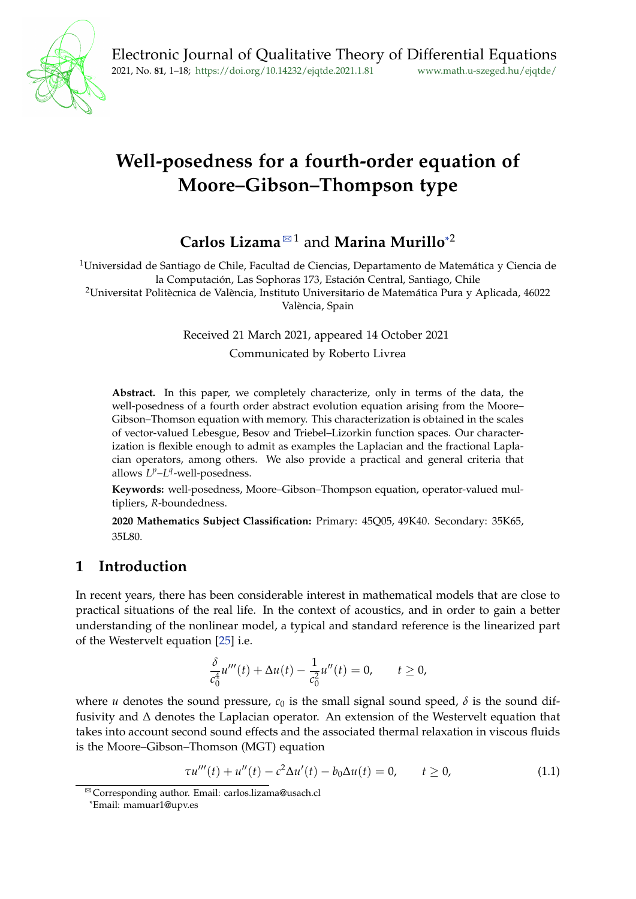

# **Well-posedness for a fourth-order equation of Moore–Gibson–Thompson type**

# **Carlos Lizama**<sup>⊠1</sup> and **Marina Murillo**<sup>[\\*](#page-0-1)2</sup>

<sup>1</sup>Universidad de Santiago de Chile, Facultad de Ciencias, Departamento de Matemática y Ciencia de la Computación, Las Sophoras 173, Estación Central, Santiago, Chile

<sup>2</sup>Universitat Politècnica de València, Instituto Universitario de Matemática Pura y Aplicada, 46022 València, Spain

Received 21 March 2021, appeared 14 October 2021

Communicated by Roberto Livrea

**Abstract.** In this paper, we completely characterize, only in terms of the data, the well-posedness of a fourth order abstract evolution equation arising from the Moore– Gibson–Thomson equation with memory. This characterization is obtained in the scales of vector-valued Lebesgue, Besov and Triebel–Lizorkin function spaces. Our characterization is flexible enough to admit as examples the Laplacian and the fractional Laplacian operators, among others. We also provide a practical and general criteria that allows  $L^p$ – $L^q$ -well-posedness.

**Keywords:** well-posedness, Moore–Gibson–Thompson equation, operator-valued multipliers, *R*-boundedness.

**2020 Mathematics Subject Classification:** Primary: 45Q05, 49K40. Secondary: 35K65, 35L80.

# **1 Introduction**

In recent years, there has been considerable interest in mathematical models that are close to practical situations of the real life. In the context of acoustics, and in order to gain a better understanding of the nonlinear model, a typical and standard reference is the linearized part of the Westervelt equation [\[25\]](#page-16-0) i.e.

$$
\frac{\delta}{c_0^4}u'''(t) + \Delta u(t) - \frac{1}{c_0^2}u''(t) = 0, \qquad t \ge 0,
$$

where *u* denotes the sound pressure,  $c_0$  is the small signal sound speed,  $\delta$  is the sound diffusivity and ∆ denotes the Laplacian operator. An extension of the Westervelt equation that takes into account second sound effects and the associated thermal relaxation in viscous fluids is the Moore–Gibson–Thomson (MGT) equation

$$
\tau u'''(t) + u''(t) - c^2 \Delta u'(t) - b_0 \Delta u(t) = 0, \qquad t \ge 0,
$$
\n(1.1)

<span id="page-0-0"></span><sup>&</sup>lt;sup>⊠</sup> Corresponding author. Email: carlos.lizama@usach.cl

<span id="page-0-1"></span><sup>\*</sup>Email: mamuar1@upv.es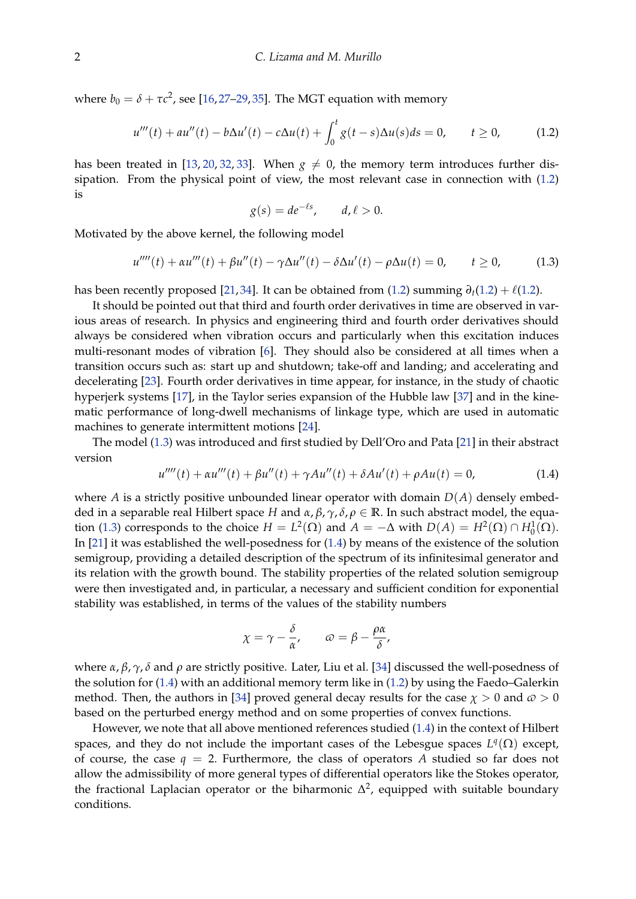where  $b_0 = \delta + \tau c^2$ , see [\[16,](#page-16-1)[27–](#page-17-0)[29,](#page-17-1)[35\]](#page-17-2). The MGT equation with memory

<span id="page-1-0"></span>
$$
u'''(t) + au''(t) - b\Delta u'(t) - c\Delta u(t) + \int_0^t g(t-s)\Delta u(s)ds = 0, \qquad t \ge 0,
$$
 (1.2)

has been treated in [\[13,](#page-15-0) [20,](#page-16-2) [32,](#page-17-3) [33\]](#page-17-4). When  $g \neq 0$ , the memory term introduces further dissipation. From the physical point of view, the most relevant case in connection with [\(1.2\)](#page-1-0) is

$$
g(s) = de^{-\ell s}, \qquad d, \ell > 0.
$$

Motivated by the above kernel, the following model

<span id="page-1-1"></span>
$$
u''''(t) + \alpha u'''(t) + \beta u''(t) - \gamma \Delta u''(t) - \delta \Delta u'(t) - \rho \Delta u(t) = 0, \qquad t \ge 0,
$$
 (1.3)

has been recently proposed [\[21,](#page-16-3) [34\]](#page-17-5). It can be obtained from [\(1.2\)](#page-1-0) summing  $\partial_t(1.2) + \ell(1.2)$ .

It should be pointed out that third and fourth order derivatives in time are observed in various areas of research. In physics and engineering third and fourth order derivatives should always be considered when vibration occurs and particularly when this excitation induces multi-resonant modes of vibration [\[6\]](#page-15-1). They should also be considered at all times when a transition occurs such as: start up and shutdown; take-off and landing; and accelerating and decelerating [\[23\]](#page-16-4). Fourth order derivatives in time appear, for instance, in the study of chaotic hyperjerk systems [\[17\]](#page-16-5), in the Taylor series expansion of the Hubble law [\[37\]](#page-17-6) and in the kinematic performance of long-dwell mechanisms of linkage type, which are used in automatic machines to generate intermittent motions [\[24\]](#page-16-6).

The model [\(1.3\)](#page-1-1) was introduced and first studied by Dell'Oro and Pata [\[21\]](#page-16-3) in their abstract version

<span id="page-1-2"></span>
$$
u''''(t) + \alpha u'''(t) + \beta u''(t) + \gamma A u''(t) + \delta A u'(t) + \rho A u(t) = 0,
$$
\n(1.4)

where *A* is a strictly positive unbounded linear operator with domain  $D(A)$  densely embedded in a separable real Hilbert space *H* and *α*, *β*, *γ*, *δ*, *ρ* ∈ **R**. In such abstract model, the equa-tion [\(1.3\)](#page-1-1) corresponds to the choice  $H = L^2(\Omega)$  and  $A = -\Delta$  with  $D(A) = H^2(\Omega) \cap H_0^1(\Omega)$ . In [\[21\]](#page-16-3) it was established the well-posedness for [\(1.4\)](#page-1-2) by means of the existence of the solution semigroup, providing a detailed description of the spectrum of its infinitesimal generator and its relation with the growth bound. The stability properties of the related solution semigroup were then investigated and, in particular, a necessary and sufficient condition for exponential stability was established, in terms of the values of the stability numbers

$$
\chi = \gamma - \frac{\delta}{\alpha'}, \qquad \omega = \beta - \frac{\rho \alpha}{\delta'}
$$

where *α*, *β*, *γ*, *δ* and *ρ* are strictly positive. Later, Liu et al. [\[34\]](#page-17-5) discussed the well-posedness of the solution for [\(1.4\)](#page-1-2) with an additional memory term like in [\(1.2\)](#page-1-0) by using the Faedo–Galerkin method. Then, the authors in [\[34\]](#page-17-5) proved general decay results for the case  $\chi > 0$  and  $\omega > 0$ based on the perturbed energy method and on some properties of convex functions.

However, we note that all above mentioned references studied [\(1.4\)](#page-1-2) in the context of Hilbert spaces, and they do not include the important cases of the Lebesgue spaces  $L^q(\Omega)$  except, of course, the case  $q = 2$ . Furthermore, the class of operators A studied so far does not allow the admissibility of more general types of differential operators like the Stokes operator, the fractional Laplacian operator or the biharmonic  $\Delta^2$ , equipped with suitable boundary conditions.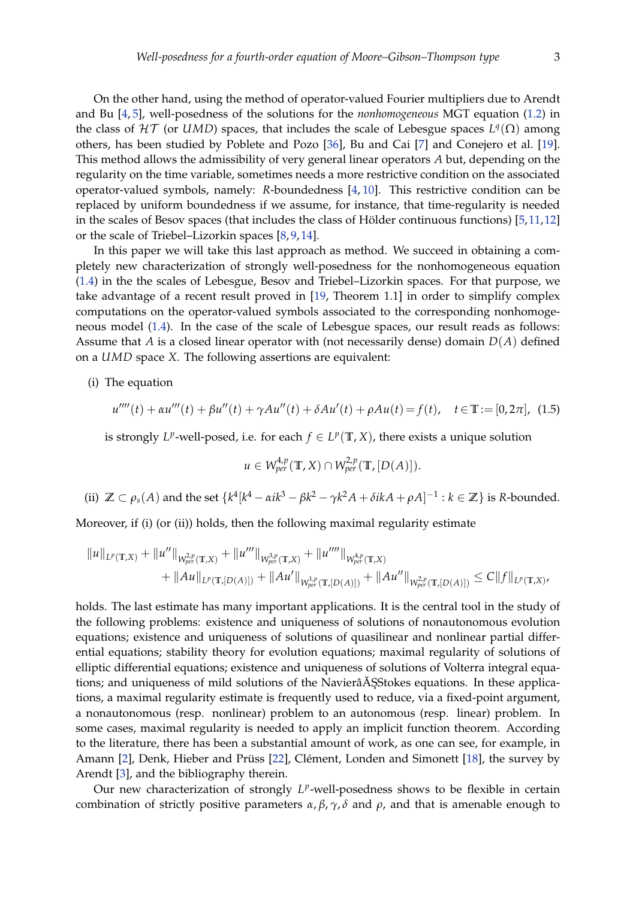On the other hand, using the method of operator-valued Fourier multipliers due to Arendt and Bu [\[4,](#page-15-2) [5\]](#page-15-3), well-posedness of the solutions for the *nonhomogeneous* MGT equation [\(1.2\)](#page-1-0) in the class of  $HT$  (or *UMD*) spaces, that includes the scale of Lebesgue spaces  $L^q(\Omega)$  among others, has been studied by Poblete and Pozo [\[36\]](#page-17-7), Bu and Cai [\[7\]](#page-15-4) and Conejero et al. [\[19\]](#page-16-7). This method allows the admissibility of very general linear operators *A* but, depending on the regularity on the time variable, sometimes needs a more restrictive condition on the associated operator-valued symbols, namely: *R*-boundedness [\[4,](#page-15-2) [10\]](#page-15-5). This restrictive condition can be replaced by uniform boundedness if we assume, for instance, that time-regularity is needed in the scales of Besov spaces (that includes the class of Hölder continuous functions) [\[5,](#page-15-3)[11,](#page-15-6)[12\]](#page-15-7) or the scale of Triebel–Lizorkin spaces [\[8,](#page-15-8) [9,](#page-15-9) [14\]](#page-16-8).

In this paper we will take this last approach as method. We succeed in obtaining a completely new characterization of strongly well-posedness for the nonhomogeneous equation [\(1.4\)](#page-1-2) in the the scales of Lebesgue, Besov and Triebel–Lizorkin spaces. For that purpose, we take advantage of a recent result proved in [\[19,](#page-16-7) Theorem 1.1] in order to simplify complex computations on the operator-valued symbols associated to the corresponding nonhomogeneous model [\(1.4\)](#page-1-2). In the case of the scale of Lebesgue spaces, our result reads as follows: Assume that *A* is a closed linear operator with (not necessarily dense) domain *D*(*A*) defined on a *UMD* space *X*. The following assertions are equivalent:

(i) The equation

$$
u''''(t) + \alpha u'''(t) + \beta u''(t) + \gamma A u''(t) + \delta A u'(t) + \rho A u(t) = f(t), \quad t \in \mathbb{T} := [0, 2\pi], \tag{1.5}
$$

is strongly  $L^p$ -well-posed, i.e. for each  $f \in L^p(\mathbb{T}, X)$ , there exists a unique solution

<span id="page-2-0"></span>
$$
u \in W_{per}^{4,p}(\mathbb{T}, X) \cap W_{per}^{2,p}(\mathbb{T}, [D(A)]).
$$

(ii)  $\mathbb{Z} \subset \rho_s(A)$  and the set  $\{k^4[k^4 - \alpha i k^3 - \beta k^2 - \gamma k^2 A + \delta i k A + \rho A]^{-1} : k \in \mathbb{Z}\}$  is R-bounded.

Moreover, if (i) (or (ii)) holds, then the following maximal regularity estimate

$$
\|u\|_{L^p(\mathbb{T},X)} + \|u''\|_{W^{2,p}_{per}(\mathbb{T},X)} + \|u''''\|_{W^{3,p}_{per}(\mathbb{T},X)} + \|u''''\|_{W^{4,p}_{per}(\mathbb{T},X)} + \|u'''''\|_{W^{4,p}_{per}(\mathbb{T},X)} + \|Au\|_{L^p(\mathbb{T},[D(A)])} + \|Au'\|_{W^{2,p}_{per}(\mathbb{T},[D(A)])} + \|Au''\|_{W^{2,p}_{per}(\mathbb{T},[D(A)])} \leq C\|f\|_{L^p(\mathbb{T},X)},
$$

holds. The last estimate has many important applications. It is the central tool in the study of the following problems: existence and uniqueness of solutions of nonautonomous evolution equations; existence and uniqueness of solutions of quasilinear and nonlinear partial differential equations; stability theory for evolution equations; maximal regularity of solutions of elliptic differential equations; existence and uniqueness of solutions of Volterra integral equations; and uniqueness of mild solutions of the Naviera<sup>ASStokes</sup> equations. In these applications, a maximal regularity estimate is frequently used to reduce, via a fixed-point argument, a nonautonomous (resp. nonlinear) problem to an autonomous (resp. linear) problem. In some cases, maximal regularity is needed to apply an implicit function theorem. According to the literature, there has been a substantial amount of work, as one can see, for example, in Amann [\[2\]](#page-15-10), Denk, Hieber and Prüss [\[22\]](#page-16-9), Clément, Londen and Simonett [\[18\]](#page-16-10), the survey by Arendt [\[3\]](#page-15-11), and the bibliography therein.

Our new characterization of strongly L<sup>p</sup>-well-posedness shows to be flexible in certain combination of strictly positive parameters  $\alpha$ ,  $\beta$ ,  $\gamma$ ,  $\delta$  and  $\rho$ , and that is amenable enough to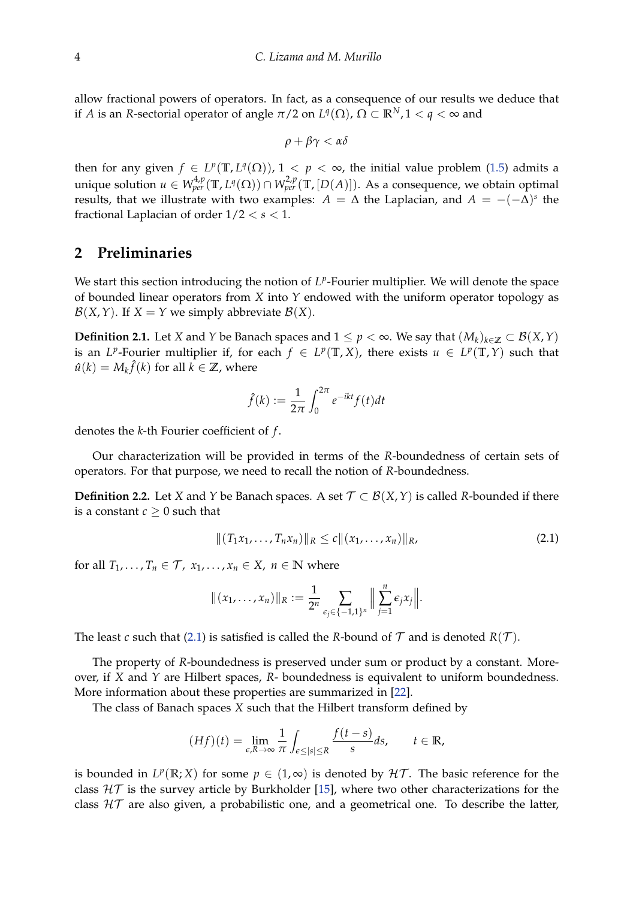allow fractional powers of operators. In fact, as a consequence of our results we deduce that if *A* is an *R*-sectorial operator of angle  $\pi/2$  on  $L^q(\Omega)$ ,  $\Omega \subset \mathbb{R}^N$ ,  $1 < q < \infty$  and

$$
\rho+\beta\gamma<\alpha\delta
$$

then for any given  $f \in L^p(\mathbb{T}, L^q(\Omega))$ ,  $1 < p < \infty$ , the initial value problem [\(1.5\)](#page-2-0) admits a unique solution  $u \in W^{4,p}_{per}(\mathbb{T}, L^q(\Omega)) \cap W^{2,p}_{per}(\mathbb{T}, [D(A)]).$  As a consequence, we obtain optimal results, that we illustrate with two examples:  $A = \Delta$  the Laplacian, and  $A = -(-\Delta)^s$  the fractional Laplacian of order 1/2 < *s* < 1.

### **2 Preliminaries**

We start this section introducing the notion of L<sup>p</sup>-Fourier multiplier. We will denote the space of bounded linear operators from *X* into *Y* endowed with the uniform operator topology as  $\mathcal{B}(X, Y)$ . If  $X = Y$  we simply abbreviate  $\mathcal{B}(X)$ .

**Definition 2.1.** Let *X* and *Y* be Banach spaces and  $1 \leq p < \infty$ . We say that  $(M_k)_{k \in \mathbb{Z}}$  ⊂  $\mathcal{B}(X,Y)$ is an *L*<sup>*p*</sup>-Fourier multiplier if, for each  $f \in L^p(\mathbb{T}, X)$ , there exists  $u \in L^p(\mathbb{T}, Y)$  such that  $\hat{u}(k) = M_k \hat{f}(k)$  for all  $k \in \mathbb{Z}$ , where

$$
\hat{f}(k) := \frac{1}{2\pi} \int_0^{2\pi} e^{-ikt} f(t) dt
$$

denotes the *k*-th Fourier coefficient of *f* .

Our characterization will be provided in terms of the *R*-boundedness of certain sets of operators. For that purpose, we need to recall the notion of *R*-boundedness.

**Definition 2.2.** Let *X* and *Y* be Banach spaces. A set  $\mathcal{T} \subset \mathcal{B}(X, Y)$  is called *R*-bounded if there is a constant  $c \geq 0$  such that

<span id="page-3-0"></span>
$$
||(T_1x_1,\ldots,T_nx_n)||_R\leq c||(x_1,\ldots,x_n)||_R,
$$
\n(2.1)

for all  $T_1, \ldots, T_n \in \mathcal{T}$ ,  $x_1, \ldots, x_n \in X$ ,  $n \in \mathbb{N}$  where

$$
|| (x_1, ..., x_n) ||_R := \frac{1}{2^n} \sum_{\epsilon_j \in \{-1, 1\}^n} || \sum_{j=1}^n \epsilon_j x_j ||.
$$

The least *c* such that [\(2.1\)](#page-3-0) is satisfied is called the *R*-bound of  $T$  and is denoted  $R(T)$ .

The property of *R*-boundedness is preserved under sum or product by a constant. Moreover, if *X* and *Y* are Hilbert spaces, *R*- boundedness is equivalent to uniform boundedness. More information about these properties are summarized in [\[22\]](#page-16-9).

The class of Banach spaces *X* such that the Hilbert transform defined by

$$
(Hf)(t) = \lim_{\epsilon,R \to \infty} \frac{1}{\pi} \int_{\epsilon \le |s| \le R} \frac{f(t-s)}{s} ds, \qquad t \in \mathbb{R},
$$

is bounded in  $L^p(\mathbb{R};X)$  for some  $p \in (1,\infty)$  is denoted by  $\mathcal{HT}$ . The basic reference for the class  $H\mathcal{T}$  is the survey article by Burkholder [\[15\]](#page-16-11), where two other characterizations for the class  $HT$  are also given, a probabilistic one, and a geometrical one. To describe the latter,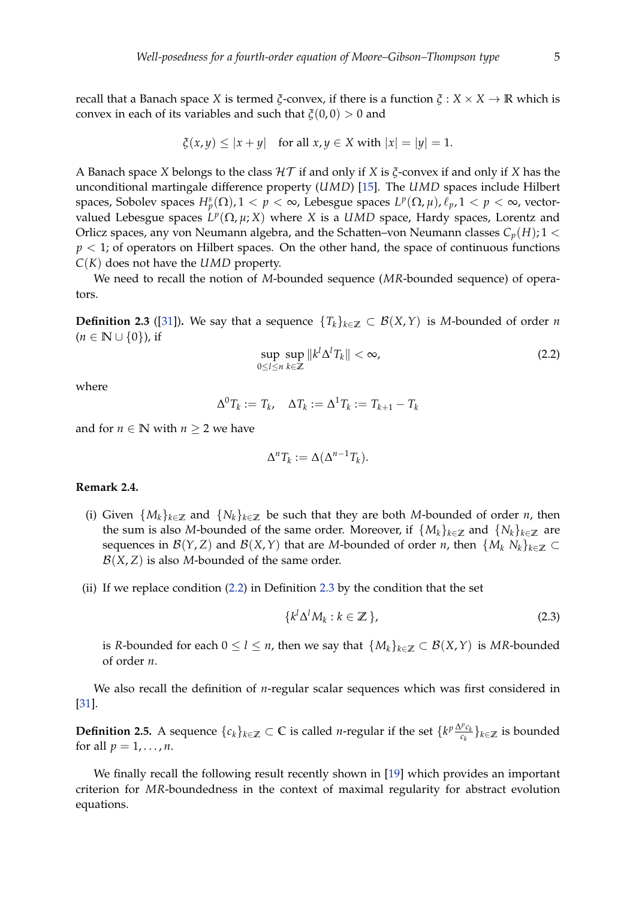recall that a Banach space *X* is termed *ξ*-convex, if there is a function *ξ* : *X* × *X* → **R** which is convex in each of its variables and such that *ξ*(0, 0) > 0 and

$$
\xi(x,y) \le |x+y| \quad \text{for all } x,y \in X \text{ with } |x| = |y| = 1.
$$

A Banach space *X* belongs to the class HT if and only if *X* is *ξ*-convex if and only if *X* has the unconditional martingale difference property (*UMD*) [\[15\]](#page-16-11). The *UMD* spaces include Hilbert spaces, Sobolev spaces  $H_p^s(\Omega)$ ,  $1 < p < \infty$ , Lebesgue spaces  $L^p(\Omega, \mu)$ ,  $\ell_p$ ,  $1 < p < \infty$ , vectorvalued Lebesgue spaces  $L^p(\Omega, \mu; X)$  where *X* is a *UMD* space, Hardy spaces, Lorentz and Orlicz spaces, any von Neumann algebra, and the Schatten–von Neumann classes  $C_p(H)$ ; 1 <  $p < 1$ ; of operators on Hilbert spaces. On the other hand, the space of continuous functions *C*(*K*) does not have the *UMD* property.

We need to recall the notion of *M*-bounded sequence (*MR*-bounded sequence) of operators.

<span id="page-4-1"></span>**Definition 2.3** ([\[31\]](#page-17-8)). We say that a sequence  ${T_k}_{k \in \mathbb{Z}} \subset \mathcal{B}(X,Y)$  is *M*-bounded of order *n*  $(n \in \mathbb{N} \cup \{0\})$ , if

<span id="page-4-0"></span>
$$
\sup_{0 \le l \le n} \sup_{k \in \mathbb{Z}} \|k^l \Delta^l T_k\| < \infty,\tag{2.2}
$$

where

$$
\Delta^0 T_k := T_k, \quad \Delta T_k := \Delta^1 T_k := T_{k+1} - T_k
$$

and for  $n \in \mathbb{N}$  with  $n \geq 2$  we have

$$
\Delta^n T_k := \Delta(\Delta^{n-1} T_k).
$$

#### **Remark 2.4.**

- (i) Given  $\{M_k\}_{k\in\mathbb{Z}}$  and  $\{N_k\}_{k\in\mathbb{Z}}$  be such that they are both *M*-bounded of order *n*, then the sum is also *M*-bounded of the same order. Moreover, if  $\{M_k\}_{k\in\mathbb{Z}}$  and  $\{N_k\}_{k\in\mathbb{Z}}$  are sequences in  $\mathcal{B}(Y, Z)$  and  $\mathcal{B}(X, Y)$  that are *M*-bounded of order *n*, then  $\{M_k N_k\}_{k \in \mathbb{Z}} \subset$  $B(X, Z)$  is also M-bounded of the same order.
- (ii) If we replace condition [\(2.2\)](#page-4-0) in Definition [2.3](#page-4-1) by the condition that the set

$$
\{k^l \Delta^l M_k : k \in \mathbb{Z}\},\tag{2.3}
$$

is *R*-bounded for each  $0 \le l \le n$ , then we say that  $\{M_k\}_{k \in \mathbb{Z}} \subset \mathcal{B}(X,Y)$  is *MR*-bounded of order *n*.

We also recall the definition of *n*-regular scalar sequences which was first considered in [\[31\]](#page-17-8).

**Definition 2.5.** A sequence  $\{c_k\}_{k\in\mathbb{Z}} \subset \mathbb{C}$  is called *n*-regular if the set  $\{k^p \frac{\Delta^p c_k}{c_k} \}$  $\left\{\frac{r}{c_k}\right\}_{k \in \mathbb{Z}}$  is bounded for all  $p = 1, \ldots, n$ .

We finally recall the following result recently shown in [\[19\]](#page-16-7) which provides an important criterion for *MR*-boundedness in the context of maximal regularity for abstract evolution equations.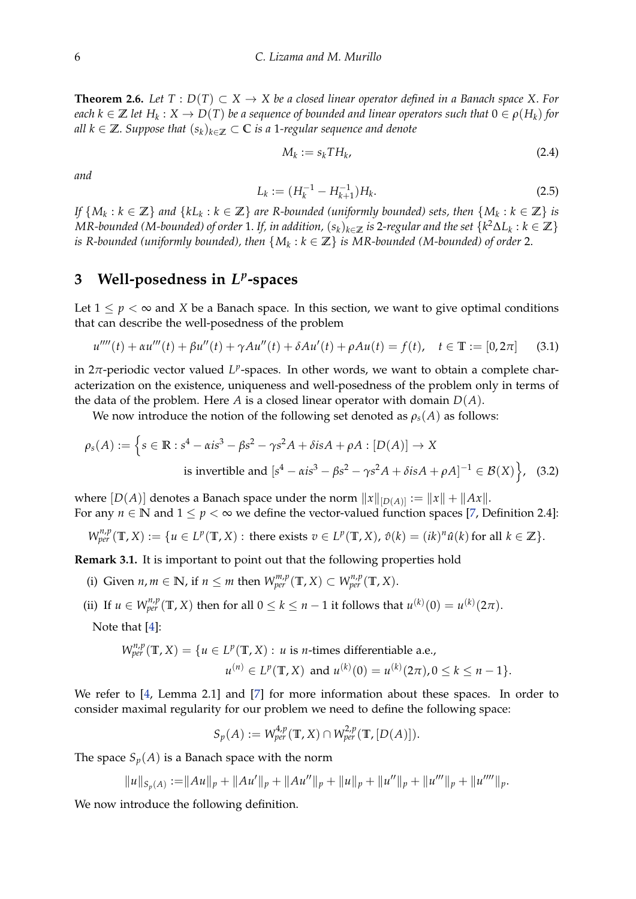<span id="page-5-1"></span>**Theorem 2.6.** *Let*  $T : D(T) \subset X \to X$  *be a closed linear operator defined in a Banach space* X. *For*  $e$ ach  $k \in \mathbb{Z}$  let  $H_k: X \to D(T)$  be a sequence of bounded and linear operators such that  $0 \in \rho(H_k)$  for *all*  $k \in \mathbb{Z}$ . *Suppose that*  $(s_k)_{k \in \mathbb{Z}}$  ⊂ *C is a* 1*-regular sequence and denote* 

$$
M_k := s_k T H_k,\tag{2.4}
$$

*and*

$$
L_k := (H_k^{-1} - H_{k+1}^{-1})H_k.
$$
\n(2.5)

*If*  $\{M_k : k \in \mathbb{Z}\}$  and  $\{kL_k : k \in \mathbb{Z}\}$  are R-bounded (uniformly bounded) sets, then  $\{M_k : k \in \mathbb{Z}\}$  is  $MR$ -bounded (M-bounded) of order  $1.$  *If, in addition,*  $(s_k)_{k\in\mathbb{Z}}$  *is*  $2$ *-regular and the set*  $\{k^2\Delta L_k:k\in\mathbb{Z}\}$ *is R-bounded (uniformly bounded), then* {*M<sup>k</sup>* : *k* ∈ **Z**} *is MR-bounded (M-bounded) of order* 2.

# **3 Well-posedness in** *L p* **-spaces**

Let  $1 \leq p < \infty$  and *X* be a Banach space. In this section, we want to give optimal conditions that can describe the well-posedness of the problem

<span id="page-5-0"></span>
$$
u''''(t) + \alpha u'''(t) + \beta u''(t) + \gamma A u''(t) + \delta A u'(t) + \rho A u(t) = f(t), \quad t \in \mathbb{T} := [0, 2\pi]
$$
 (3.1)

in  $2\pi$ -periodic vector valued  $L^p$ -spaces. In other words, we want to obtain a complete characterization on the existence, uniqueness and well-posedness of the problem only in terms of the data of the problem. Here *A* is a closed linear operator with domain  $D(A)$ .

We now introduce the notion of the following set denoted as  $\rho_s(A)$  as follows:

$$
\rho_s(A) := \left\{ s \in \mathbb{R} : s^4 - \alpha i s^3 - \beta s^2 - \gamma s^2 A + \delta i s A + \rho A : [D(A)] \to X \right\}
$$
  
is invertible and  $[s^4 - \alpha i s^3 - \beta s^2 - \gamma s^2 A + \delta i s A + \rho A]^{-1} \in \mathcal{B}(X) \right\}$ , (3.2)

where  $[D(A)]$  denotes a Banach space under the norm  $||x||_{[D(A)]} := ||x|| + ||Ax||$ . For any  $n \in \mathbb{N}$  and  $1 \le p < \infty$  we define the vector-valued function spaces [\[7,](#page-15-4) Definition 2.4]:

 $W_{per}^{n,p}(\mathbb{T},X) := \{u \in L^p(\mathbb{T},X) : \text{there exists } v \in L^p(\mathbb{T},X), \hat{v}(k) = (ik)^n \hat{u}(k) \text{ for all } k \in \mathbb{Z}\}.$ 

**Remark 3.1.** It is important to point out that the following properties hold

- (i) Given  $n, m \in \mathbb{N}$ , if  $n \leq m$  then  $W_{per}^{m,p}(\mathbb{T}, X) \subset W_{per}^{n,p}(\mathbb{T}, X)$ .
- (ii) If  $u \in W_{per}^{n,p}(\mathbb{T}, X)$  then for all  $0 \le k \le n 1$  it follows that  $u^{(k)}(0) = u^{(k)}(2\pi)$ .

Note that [\[4\]](#page-15-2):

$$
W_{per}^{n,p}(\mathbb{T}, X) = \{ u \in L^p(\mathbb{T}, X) : u \text{ is } n\text{-times differentiable a.e.},
$$
  

$$
u^{(n)} \in L^p(\mathbb{T}, X) \text{ and } u^{(k)}(0) = u^{(k)}(2\pi), 0 \le k \le n-1 \}.
$$

We refer to [\[4,](#page-15-2) Lemma 2.1] and [\[7\]](#page-15-4) for more information about these spaces. In order to consider maximal regularity for our problem we need to define the following space:

$$
S_p(A) := W_{per}^{4,p}(\mathbb{T}, X) \cap W_{per}^{2,p}(\mathbb{T}, [D(A)]).
$$

The space  $S_p(A)$  is a Banach space with the norm

$$
||u||_{S_p(A)} := ||Au||_p + ||Au'||_p + ||Au''||_p + ||u||_p + ||u''||_p + ||u'''||_p + ||u''''||_p.
$$

We now introduce the following definition.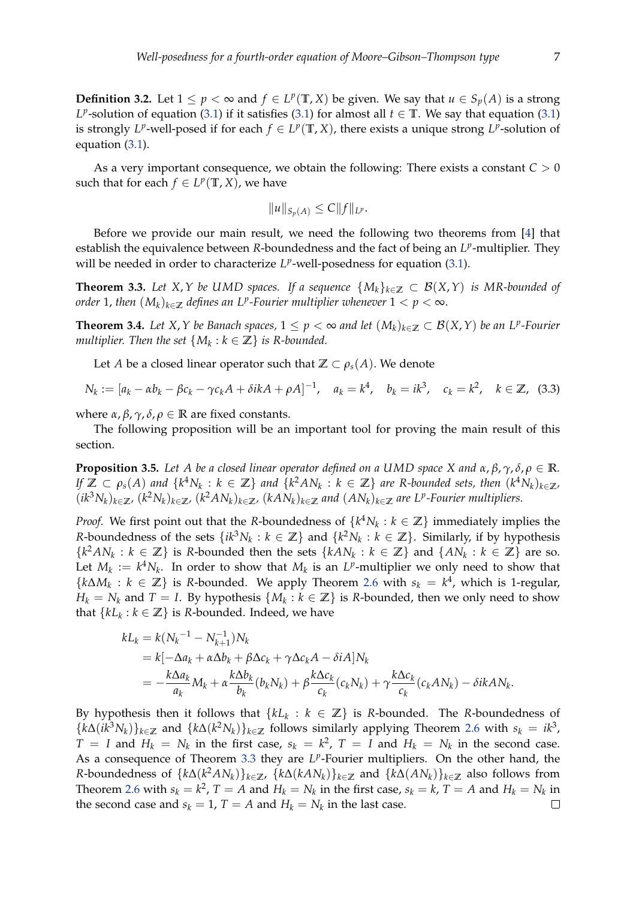**Definition 3.2.** Let 1 ≤ *p* < ∞ and *f* ∈ *L*<sup>*p*</sup>(**T**, *X*) be given. We say that *u* ∈ *S*<sub>*p*</sub>(*A*) is a strong *L*<sup>*p*</sup>-solution of equation [\(3.1\)](#page-5-0) if it satisfies (3.1) for almost all  $t \in \mathbb{T}$ . We say that equation (3.1) is strongly  $L^p$ -well-posed if for each  $f \in L^p(\mathbb{T}, X)$ , there exists a unique strong  $L^p$ -solution of equation [\(3.1\)](#page-5-0).

As a very important consequence, we obtain the following: There exists a constant *C* > 0 such that for each  $f \in L^p(\mathbb{T}, X)$ , we have

$$
||u||_{S_p(A)} \leq C||f||_{L^p}.
$$

Before we provide our main result, we need the following two theorems from [\[4\]](#page-15-2) that establish the equivalence between *R*-boundedness and the fact of being an *L<sup>p</sup>*-multiplier. They will be needed in order to characterize  $L^p$ -well-posedness for equation [\(3.1\)](#page-5-0).

<span id="page-6-0"></span>**Theorem 3.3.** Let X, Y be UMD spaces. If a sequence  $\{M_k\}_{k\in\mathbb{Z}} \subset \mathcal{B}(X,Y)$  is MR-bounded of  $\sigma$  *order* 1, then  $(M_k)_{k\in\mathbb{Z}}$  defines an L<sup>p</sup>-Fourier multiplier whenever  $1 < p < \infty.$ 

<span id="page-6-2"></span>**Theorem 3.4.** *Let X*,*Y be Banach spaces,* 1 ≤ *p* < ∞ *and let* (*Mk*)*k*∈**<sup>Z</sup>** ⊂ B(*X*,*Y*) *be an L<sup>p</sup> -Fourier multiplier. Then the set*  $\{M_k : k \in \mathbb{Z}\}$  *is R-bounded.* 

Let *A* be a closed linear operator such that  $\mathbb{Z} \subset \rho_s(A)$ . We denote

<span id="page-6-1"></span>
$$
N_k := [a_k - \alpha b_k - \beta c_k - \gamma c_k A + \delta i k A + \rho A]^{-1}, \quad a_k = k^4, \quad b_k = i k^3, \quad c_k = k^2, \quad k \in \mathbb{Z}, \tag{3.3}
$$

where  $\alpha$ ,  $\beta$ ,  $\gamma$ ,  $\delta$ ,  $\rho \in \mathbb{R}$  are fixed constants.

The following proposition will be an important tool for proving the main result of this section.

<span id="page-6-3"></span>**Proposition 3.5.** *Let A be a closed linear operator defined on a UMD space X and*  $\alpha$ ,  $\beta$ ,  $\gamma$ ,  $\delta$ ,  $\rho \in \mathbb{R}$ . If  $\mathbb{Z}\subset \rho_s(A)$  and  $\{k^4N_k:k\in\mathbb{Z}\}$  and  $\{k^2AN_k:k\in\mathbb{Z}\}$  are R-bounded sets, then  $(k^4N_k)_{k\in\mathbb{Z}}$ ,  $(ik^3N_k)_{k\in\mathbb{Z}}$ ,  $(k^2N_k)_{k\in\mathbb{Z}}$ ,  $(k^24N_k)_{k\in\mathbb{Z}}$ ,  $(k4N_k)_{k\in\mathbb{Z}}$  and  $(AN_k)_{k\in\mathbb{Z}}$  are  $L^p$ -Fourier multipliers.

*Proof.* We first point out that the *R*-boundedness of  $\{k^4N_k : k \in \mathbb{Z}\}$  immediately implies the *R*-boundedness of the sets  $\{ik^3N_k : k \in \mathbb{Z}\}$  and  $\{k^2N_k : k \in \mathbb{Z}\}$ . Similarly, if by hypothesis  $\{k^2AN_k : k \in \mathbb{Z}\}\$  is *R*-bounded then the sets  $\{kAN_k : k \in \mathbb{Z}\}\$  and  $\{AN_k : k \in \mathbb{Z}\}\$  are so. Let  $M_k := k^4 N_k$ . In order to show that  $M_k$  is an  $L^p$ -multiplier we only need to show that  $\{k\Delta M_k : k \in \mathbb{Z}\}\$  is *R*-bounded. We apply Theorem [2.6](#page-5-1) with  $s_k = k^4$ , which is 1-regular, *H*<sub>*k*</sub> = *N*<sub>*k*</sub> and *T* = *I*. By hypothesis  $\{M_k : k \in \mathbb{Z}\}$  is *R*-bounded, then we only need to show that  ${kL_k : k \in \mathbb{Z}}$  is *R*-bounded. Indeed, we have

$$
kL_k = k(N_k^{-1} - N_{k+1}^{-1})N_k
$$
  
=  $k[-\Delta a_k + \alpha \Delta b_k + \beta \Delta c_k + \gamma \Delta c_k A - \delta i A]N_k$   
=  $-\frac{k\Delta a_k}{a_k}M_k + \alpha \frac{k\Delta b_k}{b_k}(b_k N_k) + \beta \frac{k\Delta c_k}{c_k}(c_k N_k) + \gamma \frac{k\Delta c_k}{c_k}(c_k A N_k) - \delta i k A N_k.$ 

By hypothesis then it follows that  $\{kL_k : k \in \mathbb{Z}\}$  is *R*-bounded. The *R*-boundedness of  ${k\Delta(i k^3 N_k)}_{k \in \mathbb{Z}}$  and  ${k\Delta(k^2 N_k)}_{k \in \mathbb{Z}}$  follows similarly applying Theorem [2.6](#page-5-1) with  $s_k = ik^3$ ,  $T = I$  and  $H_k = N_k$  in the first case,  $s_k = k^2$ ,  $T = I$  and  $H_k = N_k$  in the second case. As a consequence of Theorem [3.3](#page-6-0) they are L<sup>p</sup>-Fourier multipliers. On the other hand, the *R*-boundedness of  $\{k\Delta(k^2AN_k)\}_{k\in\mathbb{Z}}$ ,  $\{k\Delta(kAN_k)\}_{k\in\mathbb{Z}}$  and  $\{k\Delta(AN_k)\}_{k\in\mathbb{Z}}$  also follows from Theorem [2.6](#page-5-1) with  $s_k = k^2$ ,  $T = A$  and  $H_k = N_k$  in the first case,  $s_k = k$ ,  $T = A$  and  $H_k = N_k$  in the second case and  $s_k = 1$ ,  $T = A$  and  $H_k = N_k$  in the last case.  $\Box$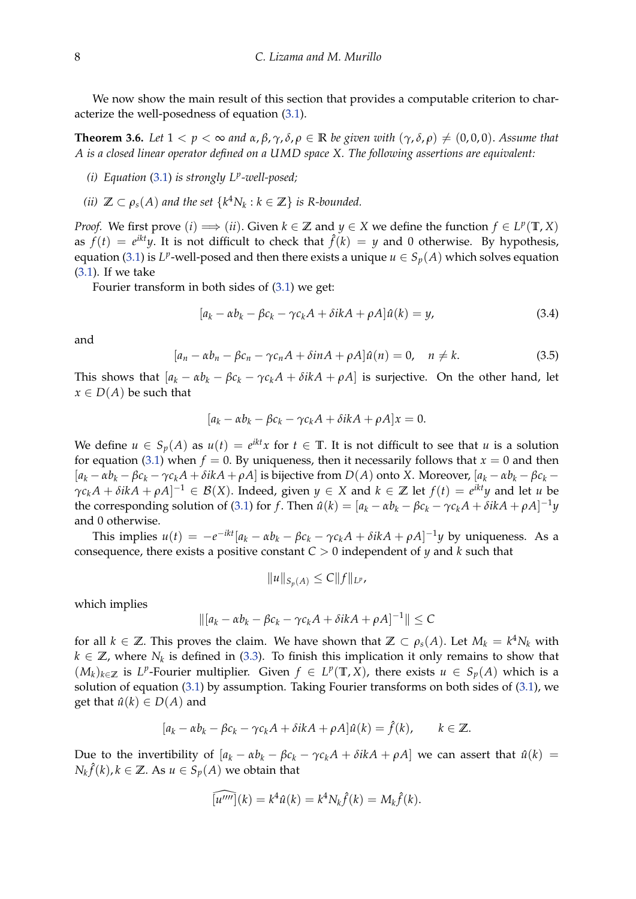We now show the main result of this section that provides a computable criterion to characterize the well-posedness of equation [\(3.1\)](#page-5-0).

<span id="page-7-0"></span>**Theorem 3.6.** Let  $1 < p < \infty$  and  $\alpha$ ,  $\beta$ ,  $\gamma$ ,  $\delta$ ,  $\rho \in \mathbb{R}$  be given with  $(\gamma, \delta, \rho) \neq (0, 0, 0)$ . Assume that *A is a closed linear operator defined on a UMD space X. The following assertions are equivalent:*

- *(i) Equation* [\(3.1\)](#page-5-0) *is strongly L<sup>p</sup> -well-posed;*
- *(ii)*  $\mathbb{Z} \subset \rho_s(A)$  and the set  $\{k^4N_k : k \in \mathbb{Z}\}$  is R-bounded.

*Proof.* We first prove  $(i) \implies (ii)$ . Given  $k \in \mathbb{Z}$  and  $y \in X$  we define the function  $f \in L^p(\mathbb{T}, X)$ as  $f(t) = e^{ikt}y$ . It is not difficult to check that  $\hat{f}(k) = y$  and 0 otherwise. By hypothesis, equation [\(3.1\)](#page-5-0) is  $L^p$ -well-posed and then there exists a unique  $u \in S_p(A)$  which solves equation [\(3.1\)](#page-5-0). If we take

Fourier transform in both sides of [\(3.1\)](#page-5-0) we get:

$$
[a_k - \alpha b_k - \beta c_k - \gamma c_k A + \delta i k A + \rho A]\hat{u}(k) = y,
$$
\n(3.4)

and

$$
[a_n - \alpha b_n - \beta c_n - \gamma c_n A + \delta i n A + \rho A] \hat{u}(n) = 0, \quad n \neq k. \tag{3.5}
$$

This shows that  $[a_k - \alpha b_k - \beta c_k - \gamma c_k A + \delta i k A + \rho A]$  is surjective. On the other hand, let  $x \in D(A)$  be such that

$$
[a_k - \alpha b_k - \beta c_k - \gamma c_k A + \delta ikA + \rho A]x = 0.
$$

We define  $u \in S_p(A)$  as  $u(t) = e^{ikt}x$  for  $t \in \mathbb{T}$ . It is not difficult to see that *u* is a solution for equation [\(3.1\)](#page-5-0) when  $f = 0$ . By uniqueness, then it necessarily follows that  $x = 0$  and then  $[a_k - \alpha b_k - \beta c_k - \gamma c_k A + \delta ikA + \rho A]$  is bijective from  $D(A)$  onto X. Moreover,  $[a_k - \alpha b_k - \beta c_k \gamma c_k A + \delta i k A + \rho A]^{-1} \in \mathcal{B}(X)$ . Indeed, given  $y \in X$  and  $k \in \mathbb{Z}$  let  $f(t) = e^{ikt}y$  and let *u* be the corresponding solution of [\(3.1\)](#page-5-0) for f. Then  $\hat{u}(k) = [a_k - \alpha b_k - \beta c_k - \gamma c_k A + \delta ikA + \rho A]^{-1}y$ and 0 otherwise.

This implies  $u(t) = -e^{-ikt}[a_k - \alpha b_k - \beta c_k - \gamma c_k A + \delta ikA + \rho A]^{-1}y$  by uniqueness. As a consequence, there exists a positive constant *C* > 0 independent of *y* and *k* such that

$$
||u||_{S_p(A)} \leq C||f||_{L^p},
$$

which implies

$$
\| [a_k - \alpha b_k - \beta c_k - \gamma c_k A + \delta i k A + \rho A]^{-1} \| \leq C
$$

for all  $k \in \mathbb{Z}$ . This proves the claim. We have shown that  $\mathbb{Z} \subset \rho_s(A)$ . Let  $M_k = k^4 N_k$  with  $k \in \mathbb{Z}$ , where  $N_k$  is defined in [\(3.3\)](#page-6-1). To finish this implication it only remains to show that  $(M_k)_{k \in \mathbb{Z}}$  is *L*<sup>*p*</sup>-Fourier multiplier. Given *f* ∈ *L*<sup>*p*</sup>(**T**, *X*), there exists *u* ∈ *S*<sub>*p*</sub>(*A*) which is a solution of equation [\(3.1\)](#page-5-0) by assumption. Taking Fourier transforms on both sides of [\(3.1\)](#page-5-0), we get that  $\hat{u}(k) \in D(A)$  and

$$
[a_k - \alpha b_k - \beta c_k - \gamma c_k A + \delta ikA + \rho A]\hat{u}(k) = \hat{f}(k), \qquad k \in \mathbb{Z}.
$$

Due to the invertibility of  $[a_k - \alpha b_k - \beta c_k - \gamma c_k A + \delta i k A + \rho A]$  we can assert that  $\hat{u}(k) =$  $N_k\hat{f}(k)$ ,  $k \in \mathbb{Z}$ . As  $u \in S_p(A)$  we obtain that

$$
\widehat{[u'''']}(k) = k^4 \hat{u}(k) = k^4 N_k \hat{f}(k) = M_k \hat{f}(k).
$$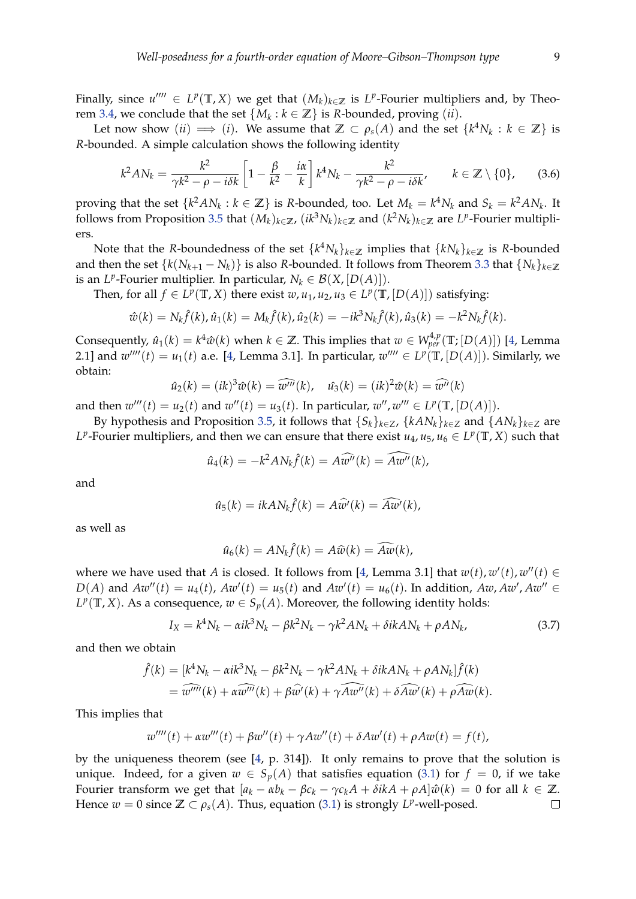Finally, since  $u'''' \in L^p(\mathbb{T}, X)$  we get that  $(M_k)_{k \in \mathbb{Z}}$  is  $L^p$ -Fourier multipliers and, by Theo-rem [3.4,](#page-6-2) we conclude that the set  $\{M_k : k \in \mathbb{Z}\}$  is *R*-bounded, proving  $(ii)$ .

Let now show  $(ii) \implies (i)$ . We assume that  $\mathbb{Z} \subset \rho_s(A)$  and the set  $\{k^4N_k : k \in \mathbb{Z}\}$  is *R*-bounded. A simple calculation shows the following identity

<span id="page-8-0"></span>
$$
k^2 AN_k = \frac{k^2}{\gamma k^2 - \rho - i\delta k} \left[ 1 - \frac{\beta}{k^2} - \frac{i\alpha}{k} \right] k^4 N_k - \frac{k^2}{\gamma k^2 - \rho - i\delta k'}, \qquad k \in \mathbb{Z} \setminus \{0\}, \tag{3.6}
$$

proving that the set  $\{k^2AN_k : k \in \mathbb{Z}\}$  is *R*-bounded, too. Let  $M_k = k^4N_k$  and  $S_k = k^2AN_k$ . It follows from Proposition [3.5](#page-6-3) that  $(M_k)_{k \in \mathbb{Z}}$ ,  $(ik^3N_k)_{k \in \mathbb{Z}}$  and  $(k^2N_k)_{k \in \mathbb{Z}}$  are  $L^p$ -Fourier multipliers.

Note that the *R*-boundedness of the set  $\{k^4N_k\}_{k\in\mathbb{Z}}$  implies that  $\{kN_k\}_{k\in\mathbb{Z}}$  is *R*-bounded and then the set  $\{k(N_{k+1} - N_k)\}\$ is also *R*-bounded. It follows from Theorem [3.3](#page-6-0) that  $\{N_k\}_{k \in \mathbb{Z}}$ is an *L<sup>p</sup>*-Fourier multiplier. In particular,  $N_k \in \mathcal{B}(X, [D(A)]).$ 

Then, for all  $f \in L^p(\mathbb{T}, X)$  there exist  $w, u_1, u_2, u_3 \in L^p(\mathbb{T}, [D(A)])$  satisfying:

$$
\hat{w}(k) = N_k \hat{f}(k), \hat{u}_1(k) = M_k \hat{f}(k), \hat{u}_2(k) = -ik^3 N_k \hat{f}(k), \hat{u}_3(k) = -k^2 N_k \hat{f}(k).
$$

Consequently,  $\hat{u}_1(k) = k^4 \hat{w}(k)$  when  $k \in \mathbb{Z}$ . This implies that  $w \in W_{per}^{4,p}(\mathbb{T};[D(A)])$  [\[4,](#page-15-2) Lemma 2.1] and  $w''''(t) = u_1(t)$  a.e. [\[4,](#page-15-2) Lemma 3.1]. In particular,  $w'''' \in L^p(\mathbb{T}, [D(A)])$ . Similarly, we obtain:

$$
\hat{u}_2(k) = (ik)^3 \hat{w}(k) = \widehat{w'''}(k), \quad \hat{u}_3(k) = (ik)^2 \hat{w}(k) = \widehat{w''}(k)
$$

and then  $w'''(t) = u_2(t)$  and  $w''(t) = u_3(t)$ . In particular,  $w''$ ,  $w''' \in L^p(\mathbb{T}, [D(A)])$ .

By hypothesis and Proposition [3.5,](#page-6-3) it follows that  $\{S_k\}_{k\in\mathbb{Z}}$ ,  $\{kAN_k\}_{k\in\mathbb{Z}}$  and  $\{AN_k\}_{k\in\mathbb{Z}}$  are *L*<sup>*p*</sup>-Fourier multipliers, and then we can ensure that there exist  $u_4$ ,  $u_5$ ,  $u_6 \in L^p(\mathbb{T}, X)$  such that

$$
\hat{u}_4(k) = -k^2 A N_k \hat{f}(k) = A \widehat{w''}(k) = \widehat{A w''}(k),
$$

and

$$
\hat{u}_5(k) = ikAN_k\hat{f}(k) = A\hat{w}'(k) = \widehat{A}\hat{w}'(k),
$$

as well as

$$
\hat{u}_6(k) = AN_k \hat{f}(k) = A\hat{w}(k) = \widehat{Aw}(k),
$$

where we have used that *A* is closed. It follows from [\[4,](#page-15-2) Lemma 3.1] that  $w(t)$ ,  $w'(t)$ ,  $w''(t) \in$ *D*(*A*) and  $Aw''(t) = u_4(t)$ ,  $Aw'(t) = u_5(t)$  and  $Aw'(t) = u_6(t)$ . In addition,  $Aw$ ,  $Aw'$ ,  $Aw'' \in$  $L^p(\mathbb{T}, X)$ . As a consequence,  $w \in S_p(A)$ . Moreover, the following identity holds:

$$
I_X = k^4 N_k - \alpha i k^3 N_k - \beta k^2 N_k - \gamma k^2 A N_k + \delta i k A N_k + \rho A N_k, \qquad (3.7)
$$

and then we obtain

$$
\hat{f}(k) = [k^4 N_k - \alpha i k^3 N_k - \beta k^2 N_k - \gamma k^2 A N_k + \delta i k A N_k + \rho A N_k] \hat{f}(k)
$$
  
=  $\widehat{w''''}(k) + \alpha \widehat{w''}(k) + \beta \widehat{w'}(k) + \gamma \widehat{A w''}(k) + \delta \widehat{A w'}(k) + \rho \widehat{A w}(k).$ 

This implies that

$$
w''''(t) + \alpha w'''(t) + \beta w''(t) + \gamma A w''(t) + \delta A w'(t) + \rho A w(t) = f(t),
$$

by the uniqueness theorem (see  $[4, p. 314]$  $[4, p. 314]$ ). It only remains to prove that the solution is unique. Indeed, for a given  $w \in S_p(A)$  that satisfies equation [\(3.1\)](#page-5-0) for  $f = 0$ , if we take Fourier transform we get that  $[a_k - \alpha b_k - \beta c_k - \gamma c_k A + \delta ikA + \rho A]\hat{w}(k) = 0$  for all  $k \in \mathbb{Z}$ . Hence  $w = 0$  since  $\mathbb{Z} \subset \rho_s(A)$ . Thus, equation [\(3.1\)](#page-5-0) is strongly  $L^p$ -well-posed.  $\Box$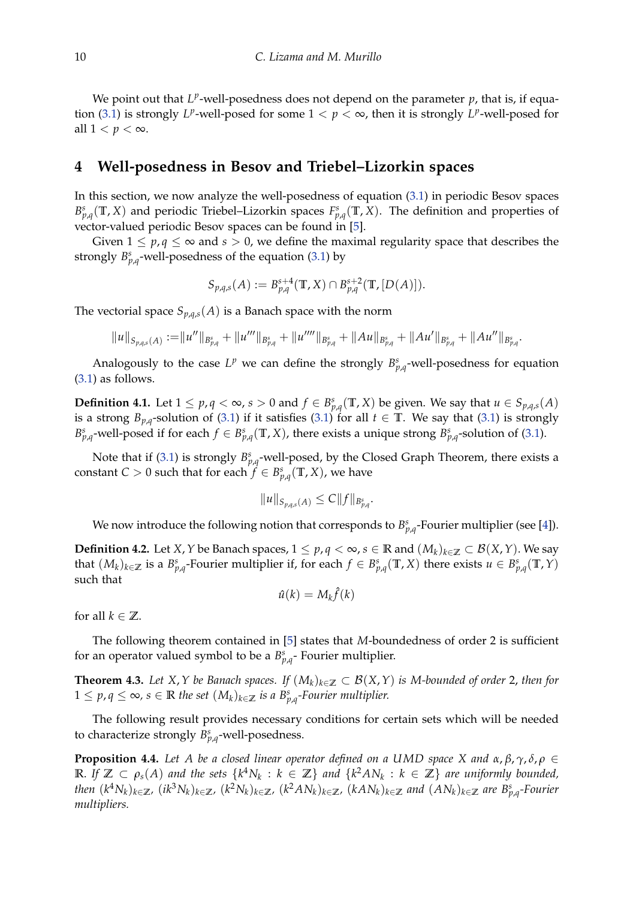We point out that  $L^p$ -well-posedness does not depend on the parameter  $p$ , that is, if equa-tion [\(3.1\)](#page-5-0) is strongly  $L^p$ -well-posed for some  $1 < p < \infty$ , then it is strongly  $L^p$ -well-posed for all  $1 < p < \infty$ .

#### **4 Well-posedness in Besov and Triebel–Lizorkin spaces**

In this section, we now analyze the well-posedness of equation [\(3.1\)](#page-5-0) in periodic Besov spaces  $B_{p,q}^s(\mathbb{T}, X)$  and periodic Triebel–Lizorkin spaces  $F_{p,q}^s(\mathbb{T}, X)$ . The definition and properties of vector-valued periodic Besov spaces can be found in [\[5\]](#page-15-3).

Given  $1 \leq p, q \leq \infty$  and  $s > 0$ , we define the maximal regularity space that describes the strongly  $B_{p,q}^s$ -well-posedness of the equation [\(3.1\)](#page-5-0) by

$$
S_{p,q,s}(A) := B_{p,q}^{s+4}(\mathbb{T}, X) \cap B_{p,q}^{s+2}(\mathbb{T}, [D(A)]).
$$

The vectorial space  $S_{p,q,s}(A)$  is a Banach space with the norm

$$
||u||_{S_{p,q,s}(A)} := ||u''||_{B_{p,q}^s} + ||u'''||_{B_{p,q}^s} + ||u''''||_{B_{p,q}^s} + ||Au||_{B_{p,q}^s} + ||Au'||_{B_{p,q}^s} + ||Au''||_{B_{p,q}^s}.
$$

Analogously to the case  $L^p$  we can define the strongly  $B^s_{p,q}$ -well-posedness for equation [\(3.1\)](#page-5-0) as follows.

**Definition 4.1.** Let  $1 \le p, q < \infty$ ,  $s > 0$  and  $f \in B_{p,q}^s(\mathbb{T}, X)$  be given. We say that  $u \in S_{p,q,s}(A)$ is a strong  $B_{p,q}$ -solution of [\(3.1\)](#page-5-0) if it satisfies (3.1) for all  $t \in \mathbb{T}$ . We say that (3.1) is strongly  $B_{p,q}^s$ -well-posed if for each  $f \in B_{p,q}^s(\mathbb{T}, X)$ , there exists a unique strong  $B_{p,q}^s$ -solution of [\(3.1\)](#page-5-0).

Note that if [\(3.1\)](#page-5-0) is strongly  $B_{p,q}^s$ -well-posed, by the Closed Graph Theorem, there exists a constant *C* > 0 such that for each  $f \in B_{p,q}^s(\mathbb{T}, X)$ , we have

$$
||u||_{S_{p,q,s}(A)} \leq C||f||_{B_{p,q}^s}.
$$

We now introduce the following notion that corresponds to  $B_{p,q}^s$ -Fourier multiplier (see [\[4\]](#page-15-2)).

**Definition 4.2.** Let *X*, *Y* be Banach spaces, 1 ≤ *p*, *q* < ∞, *s* ∈ **R** and  $(M_k)_{k \in \mathbb{Z}}$  ⊂ *B*(*X*, *Y*). We say that  $(M_k)_{k\in\mathbb{Z}}$  is a  $B^s_{p,q}$ -Fourier multiplier if, for each  $f\in B^s_{p,q}(\mathbb{T},X)$  there exists  $u\in B^s_{p,q}(\mathbb{T},Y)$ such that

$$
\hat{u}(k) = M_k \hat{f}(k)
$$

for all  $k \in \mathbb{Z}$ .

The following theorem contained in [\[5\]](#page-15-3) states that *M*-boundedness of order 2 is sufficient for an operator valued symbol to be a  $B_{p,q}^s$ - Fourier multiplier.

<span id="page-9-0"></span>**Theorem 4.3.** *Let X*, *Y be Banach spaces. If*  $(M_k)_{k∈\mathbb{Z}} ⊂ B(X,Y)$  *is M-bounded of order* 2, *then for*  $1 ≤ p, q ≤ ∞, s ∈ ℝ$  *the set*  $(M_k)_{k ∈ ℤ}$  *is a B*<sup>*s*</sup><sub>*p*,*q*</sub>-Fourier multiplier.

The following result provides necessary conditions for certain sets which will be needed to characterize strongly  $B_{p,q}^s$ -well-posedness.

<span id="page-9-1"></span>**Proposition 4.4.** *Let A be a closed linear operator defined on a UMD space X and α*, *β*, *γ*, *δ*, *ρ* ∈  $\mathbb{R}$ . If  $\mathbb{Z} \subset \rho_s(A)$  and the sets  $\{k^4N_k : k \in \mathbb{Z}\}$  and  $\{k^2AN_k : k \in \mathbb{Z}\}$  are uniformly bounded, then  $(k^4N_k)_{k\in\mathbb{Z}}$ ,  $(ik^3N_k)_{k\in\mathbb{Z}}$ ,  $(k^2N_k)_{k\in\mathbb{Z}}$ ,  $(k^2AN_k)_{k\in\mathbb{Z}}$ ,  $(kAN_k)_{k\in\mathbb{Z}}$  and  $(AN_k)_{k\in\mathbb{Z}}$  are  $B^s_{p,q}$ -Fourier *multipliers.*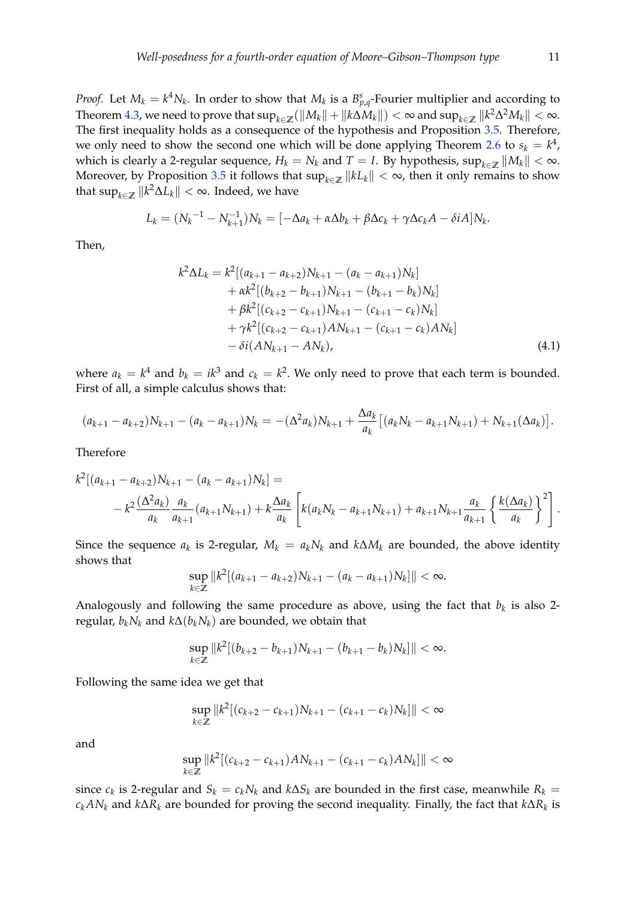*Proof.* Let  $M_k = k^4 N_k$ . In order to show that  $M_k$  is a  $B_{p,q}^s$ -Fourier multiplier and according to  $\text{Theorem 4.3, we need to prove that } \sup_{k\in\mathbb{Z}}(\|M_k\|+\|k\Delta M_k\|)<\infty \text{ and } \sup_{k\in\mathbb{Z}}\|k^2\Delta^2 M_k\|<\infty.$  $\text{Theorem 4.3, we need to prove that } \sup_{k\in\mathbb{Z}}(\|M_k\|+\|k\Delta M_k\|)<\infty \text{ and } \sup_{k\in\mathbb{Z}}\|k^2\Delta^2 M_k\|<\infty.$  $\text{Theorem 4.3, we need to prove that } \sup_{k\in\mathbb{Z}}(\|M_k\|+\|k\Delta M_k\|)<\infty \text{ and } \sup_{k\in\mathbb{Z}}\|k^2\Delta^2 M_k\|<\infty.$ The first inequality holds as a consequence of the hypothesis and Proposition [3.5.](#page-6-3) Therefore, we only need to show the second one which will be done applying Theorem [2.6](#page-5-1) to  $s_k = k^4$ , which is clearly a 2-regular sequence,  $H_k = N_k$  and  $T = I$ . By hypothesis,  $\sup_{k \in \mathbb{Z}} \|M_k\| < \infty$ . Moreover, by Proposition [3.5](#page-6-3) it follows that  $\sup_{k\in\mathbb{Z}}||kL_k|| < \infty$ , then it only remains to show that  $\sup_{k\in\mathbb{Z}}\|k^2\Delta L_k\|<\infty.$  Indeed, we have

$$
L_k = (N_k^{-1} - N_{k+1}^{-1})N_k = [-\Delta a_k + \alpha \Delta b_k + \beta \Delta c_k + \gamma \Delta c_k A - \delta iA]N_k.
$$

Then,

<span id="page-10-0"></span>
$$
k^{2} \Delta L_{k} = k^{2} [(a_{k+1} - a_{k+2})N_{k+1} - (a_{k} - a_{k+1})N_{k}] + \alpha k^{2} [(b_{k+2} - b_{k+1})N_{k+1} - (b_{k+1} - b_{k})N_{k}] + \beta k^{2} [(c_{k+2} - c_{k+1})N_{k+1} - (c_{k+1} - c_{k})N_{k}] + \gamma k^{2} [(c_{k+2} - c_{k+1})N_{k+1} - (c_{k+1} - c_{k})N_{k}] - \delta i (AN_{k+1} - AN_{k}),
$$
\n(4.1)

where  $a_k = k^4$  and  $b_k = ik^3$  and  $c_k = k^2$ . We only need to prove that each term is bounded. First of all, a simple calculus shows that:

$$
(a_{k+1}-a_{k+2})N_{k+1}-(a_k-a_{k+1})N_k=-(\Delta^2 a_k)N_{k+1}+\frac{\Delta a_k}{a_k}[(a_kN_k-a_{k+1}N_{k+1})+N_{k+1}(\Delta a_k)].
$$

Therefore

$$
k^{2}[(a_{k+1} - a_{k+2})N_{k+1} - (a_{k} - a_{k+1})N_{k}] =
$$
  

$$
- k^{2} \frac{(\Delta^{2} a_{k})}{a_{k}} \frac{a_{k}}{a_{k+1}} (a_{k+1}N_{k+1}) + k \frac{\Delta a_{k}}{a_{k}} \left[ k(a_{k}N_{k} - a_{k+1}N_{k+1}) + a_{k+1}N_{k+1} \frac{a_{k}}{a_{k+1}} \left\{ \frac{k(\Delta a_{k})}{a_{k}} \right\}^{2} \right].
$$

Since the sequence  $a_k$  is 2-regular,  $M_k = a_k N_k$  and  $k \Delta M_k$  are bounded, the above identity shows that

$$
\sup_{k\in\mathbb{Z}}\|k^2[(a_{k+1}-a_{k+2})N_{k+1}-(a_k-a_{k+1})N_k]\|<\infty.
$$

Analogously and following the same procedure as above, using the fact that  $b_k$  is also 2regular,  $b_k N_k$  and  $k\Delta(b_k N_k)$  are bounded, we obtain that

$$
\sup_{k\in\mathbb{Z}}\|k^2[(b_{k+2}-b_{k+1})N_{k+1}-(b_{k+1}-b_k)N_k]\|<\infty.
$$

Following the same idea we get that

$$
\sup_{k\in\mathbb{Z}}\|k^2[(c_{k+2}-c_{k+1})N_{k+1}-(c_{k+1}-c_k)N_k]\|<\infty
$$

and

$$
\sup_{k\in\mathbb{Z}}\|k^2[(c_{k+2}-c_{k+1})AN_{k+1}-(c_{k+1}-c_k)AN_k]\|<\infty
$$

since  $c_k$  is 2-regular and  $S_k = c_k N_k$  and  $k \Delta S_k$  are bounded in the first case, meanwhile  $R_k = c_k N_k$ *ckAN<sup>k</sup>* and *k*∆*R<sup>k</sup>* are bounded for proving the second inequality. Finally, the fact that *k*∆*R<sup>k</sup>* is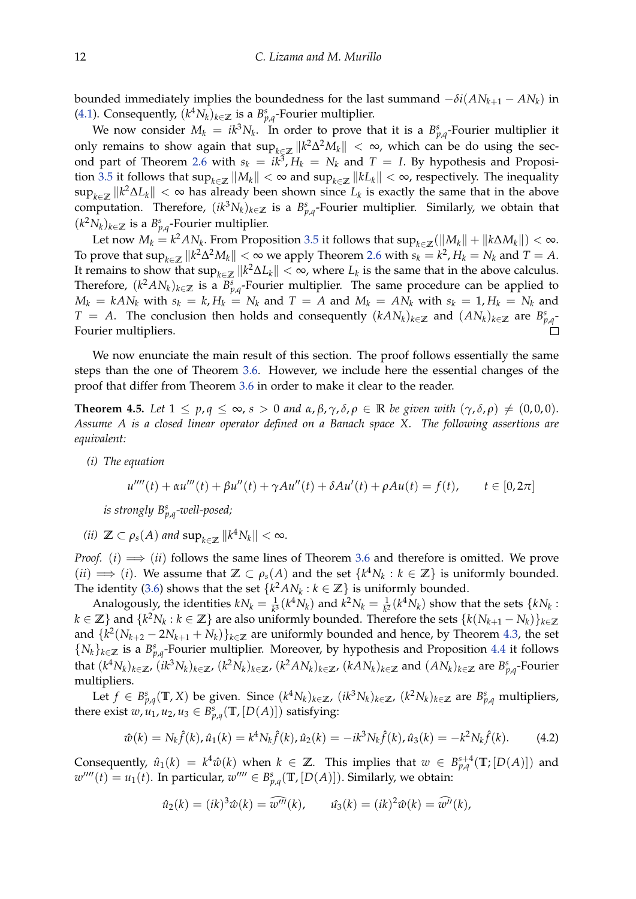bounded immediately implies the boundedness for the last summand  $-\delta i (AN_{k+1} - AN_k)$  in [\(4.1\)](#page-10-0). Consequently,  $(k^4 N_k)_{k \in \mathbb{Z}}$  is a  $B^s_{p,q}$ -Fourier multiplier.

We now consider  $M_k = ik^3 N_k$ . In order to prove that it is a  $B_{p,q}^s$ -Fourier multiplier it only remains to show again that  $\sup_{k \in \mathbb{Z}} ||k^2 \Delta^2 M_k|| < \infty$ , which can be do using the sec-ond part of Theorem [2.6](#page-5-1) with  $s_k = ik^3$ ,  $H_k = N_k$  and  $T = I$ . By hypothesis and Proposi-tion [3.5](#page-6-3) it follows that  $\sup_{k\in\mathbb{Z}}||M_k|| < \infty$  and  $\sup_{k\in\mathbb{Z}}||kL_k|| < \infty$ , respectively. The inequality  $\sup_{k\in\mathbb{Z}}\|k^2\Delta L_k\|<\infty$  has already been shown since  $L_k$  is exactly the same that in the above computation. Therefore,  $(ik^3N_k)_{k\in\mathbb{Z}}$  is a  $B^s_{p,q}$ -Fourier multiplier. Similarly, we obtain that  $(k<sup>2</sup>N<sub>k</sub>)<sub>k∈</sub>ℤ$  is a  $B<sup>s</sup><sub>p,q</sub>$ -Fourier multiplier.

Let now  $M_k = k^2 A N_k$ . From Proposition [3.5](#page-6-3) it follows that  $\sup_{k \in \mathbb{Z}} (\|M_k\| + \|k \Delta M_k\|) < \infty$ . To prove that  $\sup_{k \in \mathbb{Z}} \|k^2 \Delta^2 M_k\| < \infty$  we apply Theorem [2.6](#page-5-1) with  $s_k = k^2$ ,  $H_k = N_k$  and  $T = A$ . It remains to show that  $\sup_{k \in \mathbb{Z}} \|k^2 \Delta L_k\| < \infty$ , where  $L_k$  is the same that in the above calculus. Therefore,  $(k^2AN_k)_{k\in\mathbb{Z}}$  is a  $B^s_{p,q}$ -Fourier multiplier. The same procedure can be applied to  $M_k = k A N_k$  with  $s_k = k$ ,  $H_k = N_k$  and  $T = A$  and  $M_k = A N_k$  with  $s_k = 1$ ,  $H_k = N_k$  and *T* = *A*. The conclusion then holds and consequently  $(kAN_k)_{k∈\mathbb{Z}}$  and  $(AN_k)_{k∈\mathbb{Z}}$  are  $B^s_{p,q}$ Fourier multipliers.

We now enunciate the main result of this section. The proof follows essentially the same steps than the one of Theorem [3.6.](#page-7-0) However, we include here the essential changes of the proof that differ from Theorem [3.6](#page-7-0) in order to make it clear to the reader.

<span id="page-11-1"></span>**Theorem 4.5.** Let  $1 \leq p, q \leq \infty$ ,  $s > 0$  and  $\alpha, \beta, \gamma, \delta, \rho \in \mathbb{R}$  be given with  $(\gamma, \delta, \rho) \neq (0, 0, 0)$ . *Assume A is a closed linear operator defined on a Banach space X. The following assertions are equivalent:*

*(i) The equation*

$$
u''''(t) + \alpha u'''(t) + \beta u''(t) + \gamma A u''(t) + \delta A u'(t) + \rho A u(t) = f(t), \qquad t \in [0, 2\pi]
$$

*is strongly B<sup>s</sup> p*,*q -well-posed;*

*(ii)*  $\mathbb{Z} \subset \rho_s(A)$  and  $\sup_{k \in \mathbb{Z}} ||k^4 N_k|| < \infty$ .

*Proof.* (*i*)  $\implies$  (*ii*) follows the same lines of Theorem [3.6](#page-7-0) and therefore is omitted. We prove  $(ii) \implies (i)$ . We assume that  $\mathbb{Z} \subset \rho_s(A)$  and the set  $\{k^4N_k : k \in \mathbb{Z}\}$  is uniformly bounded. The identity [\(3.6\)](#page-8-0) shows that the set  $\{k^2AN_k : k \in \mathbb{Z}\}$  is uniformly bounded.

Analogously, the identities  $kN_k = \frac{1}{k^3} (k^4 N_k)$  and  $k^2 N_k = \frac{1}{k^2} (k^4 N_k)$  show that the sets  $\{kN_k :$  $k \in \mathbb{Z}$ } and  $\{k^2 N_k : k \in \mathbb{Z}\}$  are also uniformly bounded. Therefore the sets  $\{k(N_{k+1} - N_k)\}_{k \in \mathbb{Z}^d}$ and  $\{k^2(N_{k+2}-2N_{k+1}+N_k)\}_{k\in\mathbb{Z}}$  are uniformly bounded and hence, by Theorem [4.3,](#page-9-0) the set  ${N_k}_{k∈\mathbb{Z}}$  is a  $B_{p,q}^s$ -Fourier multiplier. Moreover, by hypothesis and Proposition [4.4](#page-9-1) it follows that  $(k^4N_k)_{k\in\mathbb{Z}}$ ,  $(ik^3N_k)_{k\in\mathbb{Z}}$ ,  $(k^2N_k)_{k\in\mathbb{Z}}$ ,  $(k^2AN_k)_{k\in\mathbb{Z}}$ ,  $(kAN_k)_{k\in\mathbb{Z}}$  and  $(AN_k)_{k\in\mathbb{Z}}$  are  $B^s_{p,q}$ -Fourier multipliers.

Let  $f \in B_{p,q}^s(\mathbb{T}, X)$  be given. Since  $(k^4 N_k)_{k \in \mathbb{Z}}$ ,  $(ik^3 N_k)_{k \in \mathbb{Z}}$ ,  $(k^2 N_k)_{k \in \mathbb{Z}}$  are  $B_{p,q}^s$  multipliers, there exist  $w, u_1, u_2, u_3 \in B^s_{p,q}(\mathbb{T}, [D(A)])$  satisfying:

<span id="page-11-0"></span>
$$
\hat{w}(k) = N_k \hat{f}(k), \hat{u}_1(k) = k^4 N_k \hat{f}(k), \hat{u}_2(k) = -ik^3 N_k \hat{f}(k), \hat{u}_3(k) = -k^2 N_k \hat{f}(k).
$$
 (4.2)

Consequently,  $\hat{u}_1(k) = k^4 \hat{w}(k)$  when  $k \in \mathbb{Z}$ . This implies that  $w \in B_{p,q}^{s+4}(\mathbb{T};[D(A)])$  and  $w^{\prime\prime\prime\prime}(t) = u_1(t)$ . In particular,  $w^{\prime\prime\prime\prime} \in B_{p,q}^s(\mathbb{T}, [D(A)])$ . Similarly, we obtain:

$$
\hat{u}_2(k) = (ik)^3 \hat{w}(k) = \widehat{w'''}(k), \qquad \hat{u}_3(k) = (ik)^2 \hat{w}(k) = \widehat{w''}(k),
$$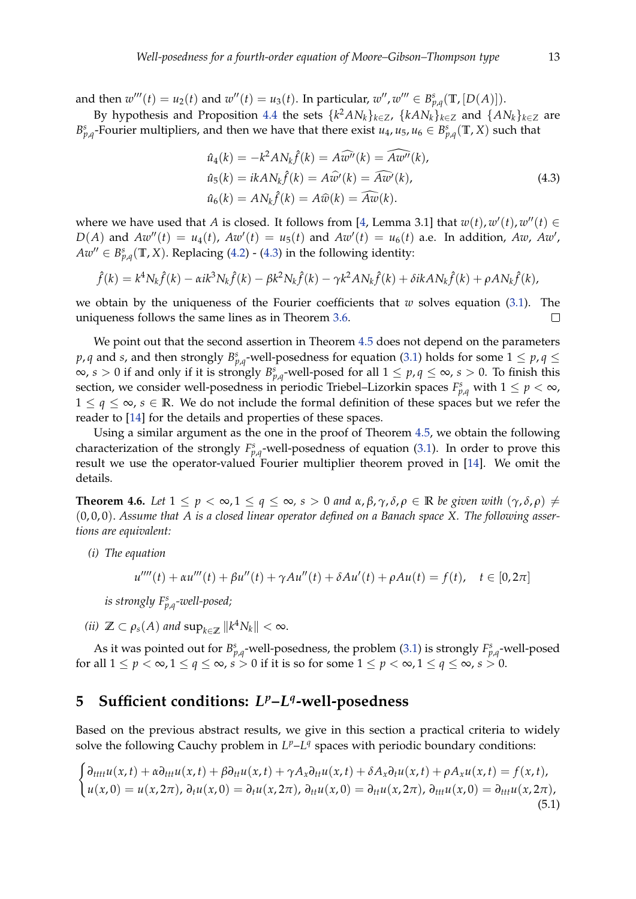and then  $w'''(t) = u_2(t)$  and  $w''(t) = u_3(t)$ . In particular,  $w''$ ,  $w''' \in B_{p,q}^s(\mathbb{T}, [D(A)])$ .

By hypothesis and Proposition [4.4](#page-9-1) the sets  $\{k^2AN_k\}_{k\in\mathbb{Z}}$ ,  $\{kAN_k\}_{k\in\mathbb{Z}}$  and  $\{AN_k\}_{k\in\mathbb{Z}}$  are *B*<sup>*s*</sup><sub>*p*,*q*</sub></sub>-Fourier multipliers, and then we have that there exist *u*<sub>4</sub>, *u*<sub>5</sub>, *u*<sub>6</sub>  $\in B_{p,q}^s(\mathbb{T}, X)$  such that

<span id="page-12-0"></span>
$$
\hat{u}_4(k) = -k^2 A N_k \hat{f}(k) = A \widehat{w''}(k) = \widehat{A w''}(k),
$$
  
\n
$$
\hat{u}_5(k) = ik A N_k \hat{f}(k) = A \widehat{w'}(k) = \widehat{A w'}(k),
$$
  
\n
$$
\hat{u}_6(k) = A N_k \hat{f}(k) = A \widehat{w}(k) = \widehat{A w}(k).
$$
\n(4.3)

where we have used that *A* is closed. It follows from [\[4,](#page-15-2) Lemma 3.1] that  $w(t)$ ,  $w'(t)$ ,  $w''(t) \in$  $D(A)$  and  $Aw''(t) = u_4(t)$ ,  $Aw'(t) = u_5(t)$  and  $Aw'(t) = u_6(t)$  a.e. In addition,  $Aw$ ,  $Aw'$ ,  $A w'' \in B_{p,q}^s(\mathbb{T}, X)$ . Replacing [\(4.2\)](#page-11-0) - [\(4.3\)](#page-12-0) in the following identity:

$$
\hat{f}(k) = k^4 N_k \hat{f}(k) - \alpha i k^3 N_k \hat{f}(k) - \beta k^2 N_k \hat{f}(k) - \gamma k^2 A N_k \hat{f}(k) + \delta i k A N_k \hat{f}(k) + \rho A N_k \hat{f}(k),
$$

we obtain by the uniqueness of the Fourier coefficients that *w* solves equation [\(3.1\)](#page-5-0). The uniqueness follows the same lines as in Theorem [3.6.](#page-7-0)  $\Box$ 

We point out that the second assertion in Theorem [4.5](#page-11-1) does not depend on the parameters  $p$ ,  $q$  and  $s$ , and then strongly  $B^{s}_{p,q}$ -well-posedness for equation [\(3.1\)](#page-5-0) holds for some  $1 \leq p$ ,  $q \leq$  $\infty$ ,  $s > 0$  if and only if it is strongly  $B_{p,q}^s$ -well-posed for all  $1 \leq p,q \leq \infty$ ,  $s > 0$ . To finish this section, we consider well-posedness in periodic Triebel–Lizorkin spaces  $F_{p,q}^s$  with  $1 \leq p < \infty$ ,  $1 \leq q \leq \infty$ ,  $s \in \mathbb{R}$ . We do not include the formal definition of these spaces but we refer the reader to [\[14\]](#page-16-8) for the details and properties of these spaces.

Using a similar argument as the one in the proof of Theorem [4.5,](#page-11-1) we obtain the following characterization of the strongly  $F_{p,q}^s$ -well-posedness of equation [\(3.1\)](#page-5-0). In order to prove this result we use the operator-valued Fourier multiplier theorem proved in [\[14\]](#page-16-8). We omit the details.

**Theorem 4.6.** Let  $1 \le p < \infty, 1 \le q \le \infty, s > 0$  and  $\alpha, \beta, \gamma, \delta, \rho \in \mathbb{R}$  be given with  $(\gamma, \delta, \rho) \ne$ (0, 0, 0). *Assume that A is a closed linear operator defined on a Banach space X. The following assertions are equivalent:*

*(i) The equation*

$$
u''''(t) + \alpha u'''(t) + \beta u''(t) + \gamma A u''(t) + \delta A u'(t) + \rho A u(t) = f(t), \quad t \in [0, 2\pi]
$$

*is strongly F<sup>s</sup> p*,*q -well-posed;*

*(ii)*  $\mathbb{Z} \subset \rho_s(A)$  and  $\sup_{k \in \mathbb{Z}} ||k^4 N_k|| < \infty$ .

As it was pointed out for  $B_{p,q}^s$ -well-posedness, the problem [\(3.1\)](#page-5-0) is strongly  $F_{p,q}^s$ -well-posed for all  $1 \leq p < \infty$ ,  $1 \leq q \leq \infty$ ,  $s > 0$  if it is so for some  $1 \leq p < \infty$ ,  $1 \leq q \leq \infty$ ,  $s > 0$ .

# **5 Sufficient conditions:** *L <sup>p</sup>***–***L q* **-well-posedness**

Based on the previous abstract results, we give in this section a practical criteria to widely solve the following Cauchy problem in  $L^p - L^q$  spaces with periodic boundary conditions:

<span id="page-12-1"></span>
$$
\begin{cases} \partial_{tttt}u(x,t) + \alpha \partial_{ttt}u(x,t) + \beta \partial_{tt}u(x,t) + \gamma A_x \partial_{tt}u(x,t) + \delta A_x \partial_t u(x,t) + \rho A_x u(x,t) = f(x,t), \\ u(x,0) = u(x,2\pi), \partial_t u(x,0) = \partial_t u(x,2\pi), \partial_{tt}u(x,0) = \partial_{tt}u(x,2\pi), \partial_{ttt}u(x,0) = \partial_{ttt}u(x,2\pi), \end{cases}
$$
(5.1)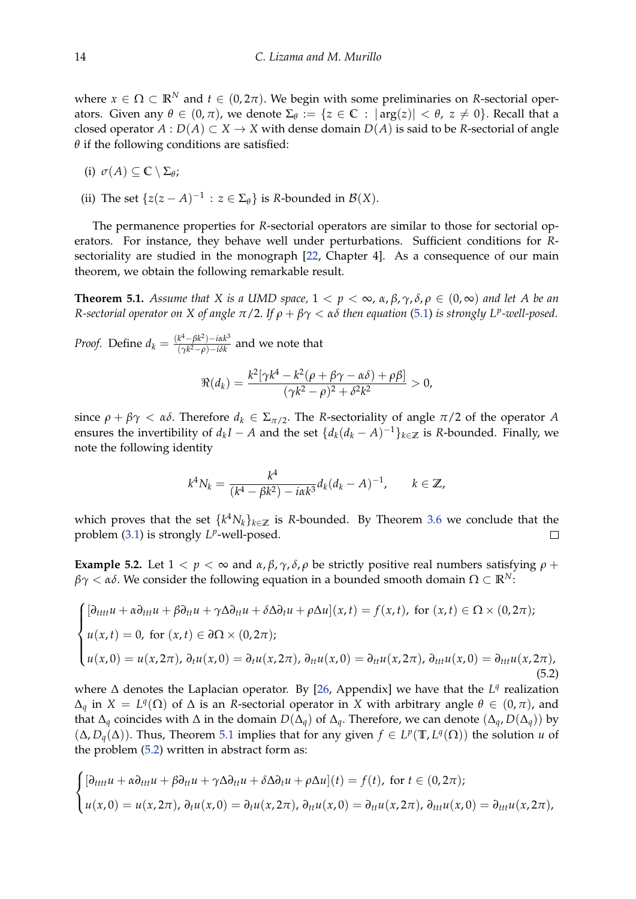where  $x \in \Omega \subset \mathbb{R}^N$  and  $t \in (0, 2\pi)$ . We begin with some preliminaries on *R*-sectorial operators. Given any  $θ ∈ (0, π)$ , we denote  $Σ_θ := {z ∈ ℂ : |arg(z)| < θ$ ,  $z ≠ 0}$ . Recall that a closed operator  $A: D(A) \subset X \to X$  with dense domain  $D(A)$  is said to be *R*-sectorial of angle  $\theta$  if the following conditions are satisfied:

- (i)  $\sigma(A) \subseteq \mathbb{C} \setminus \Sigma_{\theta}$ ;
- (ii) The set  $\{z(z A)^{-1} : z \in \Sigma_{\theta}\}\)$  is *R*-bounded in  $\mathcal{B}(X)$ .

The permanence properties for *R*-sectorial operators are similar to those for sectorial operators. For instance, they behave well under perturbations. Sufficient conditions for *R*sectoriality are studied in the monograph [\[22,](#page-16-9) Chapter 4]. As a consequence of our main theorem, we obtain the following remarkable result.

<span id="page-13-0"></span>**Theorem 5.1.** *Assume that* X *is a UMD space,*  $1 < p < \infty$ ,  $\alpha$ ,  $\beta$ ,  $\gamma$ ,  $\delta$ ,  $\rho \in (0, \infty)$  *and let* A *be an R-sectorial operator on X of angle π*/2. *If ρ* + *βγ* < *αδ then equation* [\(5.1\)](#page-12-1) *is strongly L<sup>p</sup> -well-posed.*

*Proof.* Define  $d_k = \frac{(k^4 - \beta k^2) - i \alpha k^3}{(\gamma k^2 - \rho) - i \delta k}$  $\frac{k-pk}{(\gamma k^2-\rho)-i\delta k}$  and we note that

$$
\Re(d_k)=\frac{k^2[\gamma k^4-k^2(\rho+\beta\gamma-\alpha\delta)+\rho\beta]}{(\gamma k^2-\rho)^2+\delta^2k^2}>0,
$$

since  $\rho + \beta \gamma < \alpha \delta$ . Therefore  $d_k \in \Sigma_{\pi/2}$ . The *R*-sectoriality of angle  $\pi/2$  of the operator *A* ensures the invertibility of  $d_k I - A$  and the set  $\{d_k(d_k - A)^{-1}\}_{k \in \mathbb{Z}}$  is *R*-bounded. Finally, we note the following identity

$$
k^4 N_k = \frac{k^4}{(k^4 - \beta k^2) - i\alpha k^3} d_k (d_k - A)^{-1}, \qquad k \in \mathbb{Z},
$$

which proves that the set  $\{k^4 N_k\}_{k\in\mathbb{Z}}$  is R-bounded. By Theorem [3.6](#page-7-0) we conclude that the problem [\(3.1\)](#page-5-0) is strongly  $L^p$ -well-posed.  $\Box$ 

**Example 5.2.** Let  $1 < p < \infty$  and  $\alpha, \beta, \gamma, \delta, \rho$  be strictly positive real numbers satisfying  $\rho$  + *βγ* < *αδ*. We consider the following equation in a bounded smooth domain Ω ⊂ **R***N*:

<span id="page-13-1"></span>
$$
\begin{cases}\n[\partial_{tttt}u + \alpha \partial_{ttt}u + \beta \partial_{tt}u + \gamma \Delta \partial_{tt}u + \delta \Delta \partial_t u + \rho \Delta u](x, t) = f(x, t), \text{ for } (x, t) \in \Omega \times (0, 2\pi); \\
u(x, t) = 0, \text{ for } (x, t) \in \partial \Omega \times (0, 2\pi); \\
u(x, 0) = u(x, 2\pi), \partial_t u(x, 0) = \partial_t u(x, 2\pi), \partial_{tt} u(x, 0) = \partial_{tt} u(x, 2\pi), \partial_{ttt} u(x, 0) = \partial_{ttt} u(x, 2\pi),\n\end{cases}
$$
\n(5.2)

where  $\Delta$  denotes the Laplacian operator. By [\[26,](#page-16-12) Appendix] we have that the *L<sup>q</sup>* realization  $\Delta_q$  in  $X = L^q(\Omega)$  of  $\Delta$  is an *R*-sectorial operator in *X* with arbitrary angle  $\theta \in (0, \pi)$ , and that  $\Delta_q$  coincides with  $\Delta$  in the domain  $D(\Delta_q)$  of  $\Delta_q$ . Therefore, we can denote  $(\Delta_q, D(\Delta_q))$  by (Δ, *D*<sub>*q*</sub>(Δ)). Thus, Theorem [5.1](#page-13-0) implies that for any given  $f$  ∈ *L<sup>p</sup>*(**T**, *L*<sup>*q*</sup>(Ω)) the solution *u* of the problem [\(5.2\)](#page-13-1) written in abstract form as:

$$
\begin{cases} [\partial_{tttt}u + \alpha \partial_{ttt}u + \beta \partial_{tt}u + \gamma \Delta \partial_{tt}u + \delta \Delta \partial_t u + \rho \Delta u](t) = f(t), \text{ for } t \in (0, 2\pi); \\ u(x, 0) = u(x, 2\pi), \partial_t u(x, 0) = \partial_t u(x, 2\pi), \partial_{tt}u(x, 0) = \partial_{tt}u(x, 2\pi), \partial_{ttt}u(x, 0) = \partial_{ttt}u(x, 2\pi), \end{cases}
$$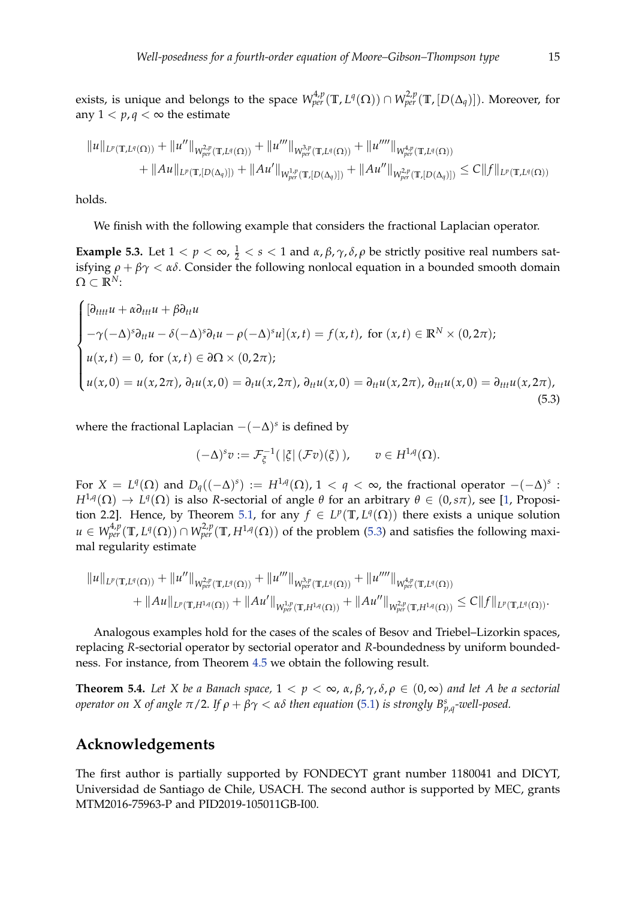exists, is unique and belongs to the space  $W^{4,p}_{per}(\mathbb{T},L^q(\Omega))\cap W^{2,p}_{per}(\mathbb{T},[D(\Delta_q)]).$  Moreover, for any  $1 < p, q < \infty$  the estimate

$$
||u||_{L^p(\mathbb{T},L^q(\Omega))} + ||u''||_{W_{per}^{2,p}(\mathbb{T},L^q(\Omega))} + ||u'''||_{W_{per}^{3,p}(\mathbb{T},L^q(\Omega))} + ||u''''||_{W_{per}^{4,p}(\mathbb{T},L^q(\Omega))}
$$
  
+  $||Au||_{L^p(\mathbb{T},[D(\Delta_q)])} + ||Au'||_{W_{per}^{1,p}(\mathbb{T},[D(\Delta_q)])} + ||Au''||_{W_{per}^{2,p}(\mathbb{T},[D(\Delta_q)])} \leq C||f||_{L^p(\mathbb{T},L^q(\Omega))}$ 

holds.

We finish with the following example that considers the fractional Laplacian operator.

**Example 5.3.** Let  $1 < p < \infty$ ,  $\frac{1}{2} < s < 1$  and  $\alpha$ ,  $\beta$ ,  $\gamma$ ,  $\delta$ ,  $\rho$  be strictly positive real numbers satisfying  $\rho + \beta \gamma < \alpha \delta$ . Consider the following nonlocal equation in a bounded smooth domain  $\Omega \subset \mathbb{R}^N$ :

$$
\begin{cases}\n[\partial_{tttt}u + \alpha \partial_{ttt}u + \beta \partial_{tt}u \\
-\gamma(-\Delta)^s \partial_{tt}u - \delta(-\Delta)^s \partial_t u - \rho(-\Delta)^s u](x, t) = f(x, t), \text{ for } (x, t) \in \mathbb{R}^N \times (0, 2\pi); \\
u(x, t) = 0, \text{ for } (x, t) \in \partial\Omega \times (0, 2\pi); \\
u(x, 0) = u(x, 2\pi), \partial_t u(x, 0) = \partial_t u(x, 2\pi), \partial_{tt} u(x, 0) = \partial_{tt} u(x, 2\pi), \partial_{tt} u(x, 0) = \partial_{ttt} u(x, 2\pi),\n\end{cases}
$$
\n(5.3)

where the fractional Laplacian −(−∆) *s* is defined by

<span id="page-14-0"></span>
$$
(-\Delta)^s v := \mathcal{F}_{\xi}^{-1}(\,|\xi|\,(\mathcal{F}v)(\xi)\,), \qquad v \in H^{1,q}(\Omega).
$$

For  $X = L^q(\Omega)$  and  $D_q((-\Delta)^s) := H^{1,q}(\Omega)$ ,  $1 < q < \infty$ , the fractional operator  $-(-\Delta)^s$ : *H*<sup>1,*q*</sup>(Ω)  $\to$  *L<sup>q</sup>*(Ω) is also *R*-sectorial of angle *θ* for an arbitrary  $\theta \in (0,s\pi)$ , see [\[1,](#page-15-12) Proposi-tion 2.2]. Hence, by Theorem [5.1,](#page-13-0) for any  $f \in L^p(\mathbb{T}, L^q(\Omega))$  there exists a unique solution  $u \in W^{4,p}_{per}(\mathbb{T}, L^q(\Omega)) \cap W^{2,p}_{per}(\mathbb{T}, H^{1,q}(\Omega))$  of the problem [\(5.3\)](#page-14-0) and satisfies the following maximal regularity estimate

$$
||u||_{L^p(\mathbb{T},L^q(\Omega))} + ||u''||_{W^{2,p}_{per}(\mathbb{T},L^q(\Omega))} + ||u'''||_{W^{3,p}_{per}(\mathbb{T},L^q(\Omega))} + ||u''''||_{W^{4,p}_{per}(\mathbb{T},L^q(\Omega))}
$$
  
+  $||Au||_{L^p(\mathbb{T},H^{1,q}(\Omega))} + ||Au'||_{W^{1,p}_{per}(\mathbb{T},H^{1,q}(\Omega))} + ||Au''||_{W^{2,p}_{per}(\mathbb{T},H^{1,q}(\Omega))} \leq C||f||_{L^p(\mathbb{T},L^q(\Omega))}.$ 

Analogous examples hold for the cases of the scales of Besov and Triebel–Lizorkin spaces, replacing *R*-sectorial operator by sectorial operator and *R*-boundedness by uniform boundedness. For instance, from Theorem [4.5](#page-11-1) we obtain the following result.

**Theorem 5.4.** *Let X be a Banach space,*  $1 < p < \infty$ ,  $\alpha$ ,  $\beta$ ,  $\gamma$ ,  $\delta$ ,  $\rho \in (0, \infty)$  *and let A be a sectorial operator on X of angle*  $\pi/2$ . If  $\rho + \beta \gamma < \alpha \delta$  then equation [\(5.1\)](#page-12-1) is strongly  $B^{s}_{p,q}$ -well-posed.

### **Acknowledgements**

The first author is partially supported by FONDECYT grant number 1180041 and DICYT, Universidad de Santiago de Chile, USACH. The second author is supported by MEC, grants MTM2016-75963-P and PID2019-105011GB-I00.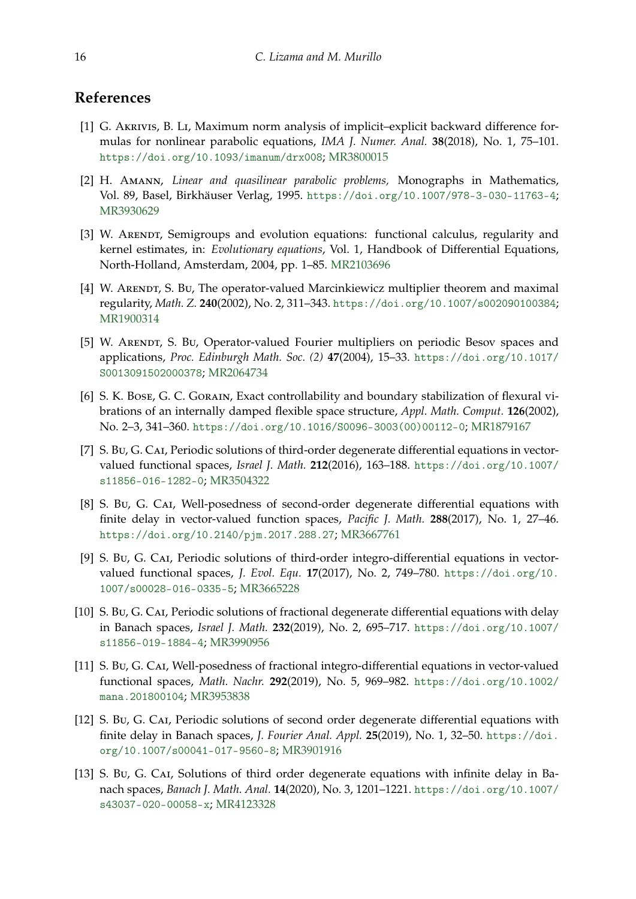### **References**

- <span id="page-15-12"></span>[1] G. Akrivis, B. Li, Maximum norm analysis of implicit–explicit backward difference formulas for nonlinear parabolic equations, *IMA J. Numer. Anal.* **38**(2018), No. 1, 75–101. <https://doi.org/10.1093/imanum/drx008>; [MR3800015](https://www.ams.org/mathscinet-getitem?mr=3800015)
- <span id="page-15-10"></span>[2] H. Amann, *Linear and quasilinear parabolic problems,* Monographs in Mathematics, Vol. 89, Basel, Birkhäuser Verlag, 1995. <https://doi.org/10.1007/978-3-030-11763-4>; [MR3930629](https://www.ams.org/mathscinet-getitem?mr=3930629)
- <span id="page-15-11"></span>[3] W. ARENDT, Semigroups and evolution equations: functional calculus, regularity and kernel estimates, in: *Evolutionary equations*, Vol. 1, Handbook of Differential Equations, North-Holland, Amsterdam, 2004, pp. 1–85. [MR2103696](https://www.ams.org/mathscinet-getitem?mr=2103696)
- <span id="page-15-2"></span>[4] W. ARENDT, S. BU, The operator-valued Marcinkiewicz multiplier theorem and maximal regularity, *Math. Z.* **240**(2002), No. 2, 311–343. <https://doi.org/10.1007/s002090100384>; [MR1900314](https://www.ams.org/mathscinet-getitem?mr=1900314)
- <span id="page-15-3"></span>[5] W. ARENDT, S. Bu, Operator-valued Fourier multipliers on periodic Besov spaces and applications, *Proc. Edinburgh Math. Soc. (2)* **47**(2004), 15–33. [https://doi.org/10.1017/](https://doi.org/10.1017/S0013091502000378) [S0013091502000378](https://doi.org/10.1017/S0013091502000378); [MR2064734](https://www.ams.org/mathscinet-getitem?mr=2064734)
- <span id="page-15-1"></span>[6] S. K. Bose, G. C. Gorain, Exact controllability and boundary stabilization of flexural vibrations of an internally damped flexible space structure, *Appl. Math. Comput.* **126**(2002), No. 2–3, 341–360. [https://doi.org/10.1016/S0096-3003\(00\)00112-0](https://doi.org/10.1016/S0096-3003(00)00112-0); [MR1879167](https://www.ams.org/mathscinet-getitem?mr=1879167)
- <span id="page-15-4"></span>[7] S. Bu, G. Cai, Periodic solutions of third-order degenerate differential equations in vectorvalued functional spaces, *Israel J. Math.* **212**(2016), 163–188. [https://doi.org/10.1007/](https://doi.org/10.1007/s11856-016-1282-0) [s11856-016-1282-0](https://doi.org/10.1007/s11856-016-1282-0); [MR3504322](https://www.ams.org/mathscinet-getitem?mr=3504322)
- <span id="page-15-8"></span>[8] S. Bu, G. CAI, Well-posedness of second-order degenerate differential equations with finite delay in vector-valued function spaces, *Pacific J. Math.* **288**(2017), No. 1, 27–46. <https://doi.org/10.2140/pjm.2017.288.27>; [MR3667761](https://www.ams.org/mathscinet-getitem?mr=3667761)
- <span id="page-15-9"></span>[9] S. Bu, G. Cai, Periodic solutions of third-order integro-differential equations in vectorvalued functional spaces, *J. Evol. Equ.* **17**(2017), No. 2, 749–780. [https://doi.org/10.](https://doi.org/10.1007/s00028-016-0335-5) [1007/s00028-016-0335-5](https://doi.org/10.1007/s00028-016-0335-5); [MR3665228](https://www.ams.org/mathscinet-getitem?mr=3665228)
- <span id="page-15-5"></span>[10] S. Bu, G. CAI, Periodic solutions of fractional degenerate differential equations with delay in Banach spaces, *Israel J. Math.* **232**(2019), No. 2, 695–717. [https://doi.org/10.1007/](https://doi.org/10.1007/s11856-019-1884-4) [s11856-019-1884-4](https://doi.org/10.1007/s11856-019-1884-4); [MR3990956](https://www.ams.org/mathscinet-getitem?mr=3990956)
- <span id="page-15-6"></span>[11] S. Bu, G. Cai, Well-posedness of fractional integro-differential equations in vector-valued functional spaces, *Math. Nachr.* **292**(2019), No. 5, 969–982. [https://doi.org/10.1002/](https://doi.org/10.1002/mana.201800104) [mana.201800104](https://doi.org/10.1002/mana.201800104); [MR3953838](https://www.ams.org/mathscinet-getitem?mr=3953838)
- <span id="page-15-7"></span>[12] S. Bu, G. CAI, Periodic solutions of second order degenerate differential equations with finite delay in Banach spaces, *J. Fourier Anal. Appl.* **25**(2019), No. 1, 32–50. [https://doi.](https://doi.org/10.1007/s00041-017-9560-8) [org/10.1007/s00041-017-9560-8](https://doi.org/10.1007/s00041-017-9560-8); [MR3901916](https://www.ams.org/mathscinet-getitem?mr=3901916)
- <span id="page-15-0"></span>[13] S. Bu, G. CAI, Solutions of third order degenerate equations with infinite delay in Banach spaces, *Banach J. Math. Anal.* **14**(2020), No. 3, 1201–1221. [https://doi.org/10.1007/](https://doi.org/10.1007/s43037-020-00058-x) [s43037-020-00058-x](https://doi.org/10.1007/s43037-020-00058-x); [MR4123328](https://www.ams.org/mathscinet-getitem?mr=4123328)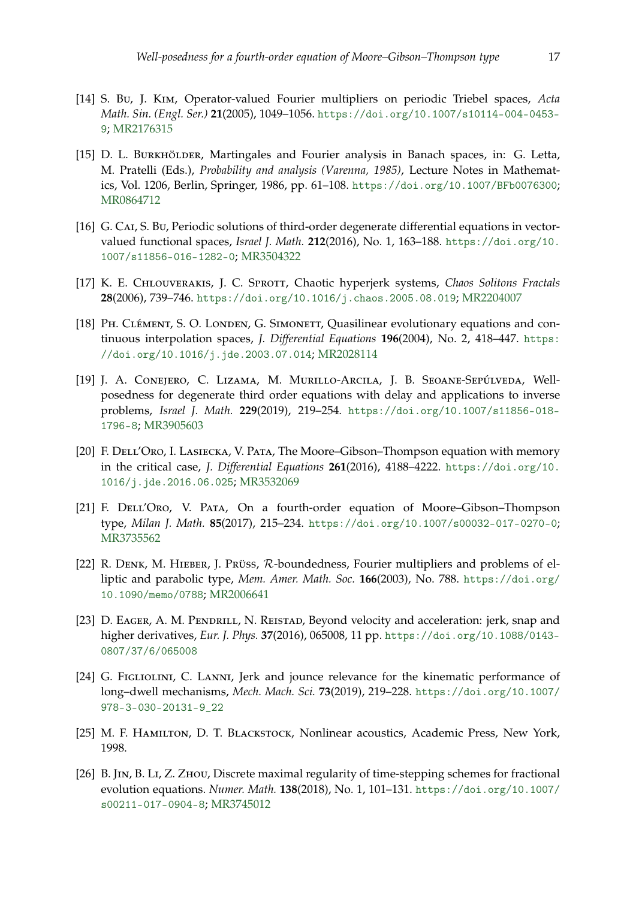- <span id="page-16-8"></span>[14] S. Bu, J. Kim, Operator-valued Fourier multipliers on periodic Triebel spaces, *Acta Math. Sin. (Engl. Ser.)* **21**(2005), 1049–1056. [https://doi.org/10.1007/s10114-004-0453-](https://doi.org/10.1007/s10114-004-0453-9) [9](https://doi.org/10.1007/s10114-004-0453-9); [MR2176315](https://www.ams.org/mathscinet-getitem?mr=2176315)
- <span id="page-16-11"></span>[15] D. L. BURKHÖLDER, Martingales and Fourier analysis in Banach spaces, in: G. Letta, M. Pratelli (Eds.), *Probability and analysis (Varenna, 1985)*, Lecture Notes in Mathematics, Vol. 1206, Berlin, Springer, 1986, pp. 61–108. <https://doi.org/10.1007/BFb0076300>; [MR0864712](https://www.ams.org/mathscinet-getitem?mr=0864712)
- <span id="page-16-1"></span>[16] G. CAI, S. Bu, Periodic solutions of third-order degenerate differential equations in vectorvalued functional spaces, *Israel J. Math.* **212**(2016), No. 1, 163–188. [https://doi.org/10.](https://doi.org/10.1007/s11856-016-1282-0) [1007/s11856-016-1282-0](https://doi.org/10.1007/s11856-016-1282-0); [MR3504322](https://www.ams.org/mathscinet-getitem?mr=3504322)
- <span id="page-16-5"></span>[17] K. E. CHLOUVERAKIS, J. C. SPROTT, Chaotic hyperjerk systems, Chaos Solitons Fractals **28**(2006), 739–746. <https://doi.org/10.1016/j.chaos.2005.08.019>; [MR2204007](https://www.ams.org/mathscinet-getitem?mr=2204007)
- <span id="page-16-10"></span>[18] PH. CLÉMENT, S. O. LONDEN, G. SIMONETT, Quasilinear evolutionary equations and continuous interpolation spaces, *J. Differential Equations* **196**(2004), No. 2, 418–447. [https:](https://doi.org/10.1016/j.jde.2003.07.014) [//doi.org/10.1016/j.jde.2003.07.014](https://doi.org/10.1016/j.jde.2003.07.014); [MR2028114](https://www.ams.org/mathscinet-getitem?mr=2028114)
- <span id="page-16-7"></span>[19] J. A. Conejero, C. Lizama, M. Murillo-Arcila, J. B. Seoane-Sepúlveda, Wellposedness for degenerate third order equations with delay and applications to inverse problems, *Israel J. Math.* **229**(2019), 219–254. [https://doi.org/10.1007/s11856-018-](https://doi.org/10.1007/s11856-018-1796-8) [1796-8](https://doi.org/10.1007/s11856-018-1796-8); [MR3905603](https://www.ams.org/mathscinet-getitem?mr=3905603)
- <span id="page-16-2"></span>[20] F. DELL'ORO, I. LASIECKA, V. PATA, The Moore–Gibson–Thompson equation with memory in the critical case, *J. Differential Equations* **261**(2016), 4188–4222. [https://doi.org/10.](https://doi.org/10.1016/j.jde.2016.06.025) [1016/j.jde.2016.06.025](https://doi.org/10.1016/j.jde.2016.06.025); [MR3532069](https://www.ams.org/mathscinet-getitem?mr=3532069)
- <span id="page-16-3"></span>[21] F. DELL'Oro, V. PATA, On a fourth-order equation of Moore-Gibson-Thompson type, *Milan J. Math.* **85**(2017), 215–234. <https://doi.org/10.1007/s00032-017-0270-0>; [MR3735562](https://www.ams.org/mathscinet-getitem?mr=3735562)
- <span id="page-16-9"></span>[22] R. DENK, M. HIEBER, J. PRÜSS, R-boundedness, Fourier multipliers and problems of elliptic and parabolic type, *Mem. Amer. Math. Soc.* **166**(2003), No. 788. [https://doi.org/](https://doi.org/10.1090/memo/0788) [10.1090/memo/0788](https://doi.org/10.1090/memo/0788); [MR2006641](https://www.ams.org/mathscinet-getitem?mr=2006641)
- <span id="page-16-4"></span>[23] D. EAGER, A. M. PENDRILL, N. REISTAD, Beyond velocity and acceleration: jerk, snap and higher derivatives, *Eur. J. Phys.* **37**(2016), 065008, 11 pp. [https://doi.org/10.1088/0143-](https://doi.org/10.1088/0143-0807/37/6/065008) [0807/37/6/065008](https://doi.org/10.1088/0143-0807/37/6/065008)
- <span id="page-16-6"></span>[24] G. FIGLIOLINI, C. LANNI, Jerk and jounce relevance for the kinematic performance of long–dwell mechanisms, *Mech. Mach. Sci.* **73**(2019), 219–228. [https://doi.org/10.1007/](https://doi.org/10.1007/978-3-030-20131-9_22) [978-3-030-20131-9\\_22](https://doi.org/10.1007/978-3-030-20131-9_22)
- <span id="page-16-0"></span>[25] M. F. HAMILTON, D. T. BLACKSTOCK, Nonlinear acoustics, Academic Press, New York, 1998.
- <span id="page-16-12"></span>[26] B. JIN, B. LI, Z. ZHOU, Discrete maximal regularity of time-stepping schemes for fractional evolution equations. *Numer. Math.* **138**(2018), No. 1, 101–131. [https://doi.org/10.1007/](https://doi.org/10.1007/s00211-017-0904-8) [s00211-017-0904-8](https://doi.org/10.1007/s00211-017-0904-8); [MR3745012](https://www.ams.org/mathscinet-getitem?mr=3745012)